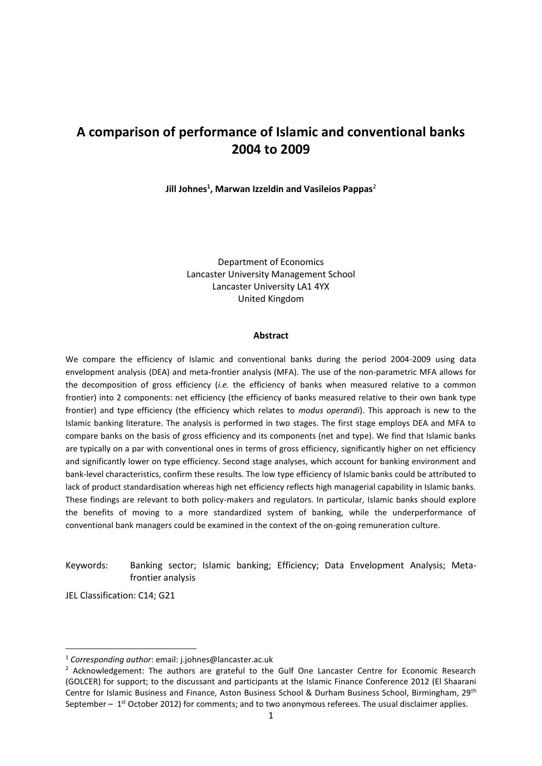# **A comparison of performance of Islamic and conventional banks 2004 to 2009**

**Jill Johnes<sup>1</sup> , Marwan Izzeldin and Vasileios Pappas**<sup>2</sup>

Department of Economics Lancaster University Management School Lancaster University LA1 4YX United Kingdom

#### **Abstract**

We compare the efficiency of Islamic and conventional banks during the period 2004-2009 using data envelopment analysis (DEA) and meta-frontier analysis (MFA). The use of the non-parametric MFA allows for the decomposition of gross efficiency (*i.e.* the efficiency of banks when measured relative to a common frontier) into 2 components: net efficiency (the efficiency of banks measured relative to their own bank type frontier) and type efficiency (the efficiency which relates to *modus operandi*). This approach is new to the Islamic banking literature. The analysis is performed in two stages. The first stage employs DEA and MFA to compare banks on the basis of gross efficiency and its components (net and type). We find that Islamic banks are typically on a par with conventional ones in terms of gross efficiency, significantly higher on net efficiency and significantly lower on type efficiency. Second stage analyses, which account for banking environment and bank-level characteristics, confirm these results. The low type efficiency of Islamic banks could be attributed to lack of product standardisation whereas high net efficiency reflects high managerial capability in Islamic banks. These findings are relevant to both policy-makers and regulators. In particular, Islamic banks should explore the benefits of moving to a more standardized system of banking, while the underperformance of conventional bank managers could be examined in the context of the on-going remuneration culture.

Keywords: Banking sector; Islamic banking; Efficiency; Data Envelopment Analysis; Metafrontier analysis

JEL Classification: C14; G21

<sup>1</sup> *Corresponding author*: email: j.johnes@lancaster.ac.uk

<sup>&</sup>lt;sup>2</sup> Acknowledgement: The authors are grateful to the Gulf One Lancaster Centre for Economic Research (GOLCER) for support; to the discussant and participants at the Islamic Finance Conference 2012 (El Shaarani Centre for Islamic Business and Finance, Aston Business School & Durham Business School, Birmingham, 29<sup>th</sup> September  $-1$ <sup>st</sup> October 2012) for comments; and to two anonymous referees. The usual disclaimer applies.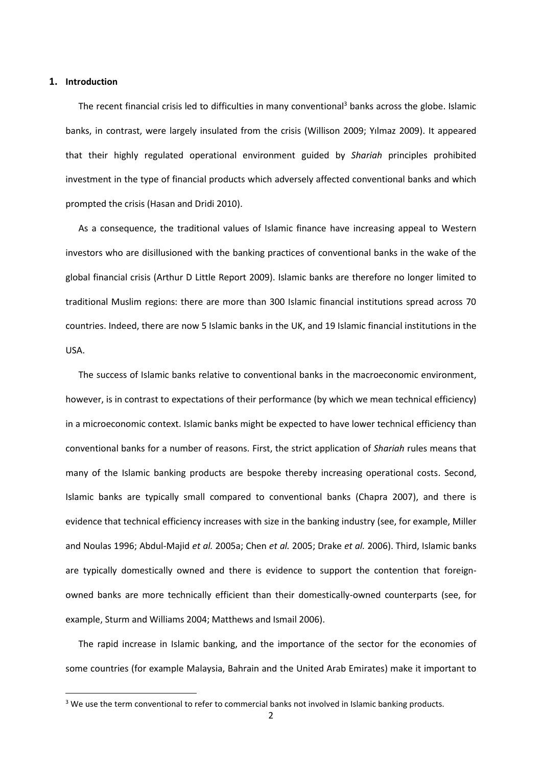#### **1. Introduction**

**.** 

The recent financial crisis led to difficulties in many conventional<sup>3</sup> banks across the globe. Islamic banks, in contrast, were largely insulated from the crisis [\(Willison 2009;](#page-32-0) [Yılmaz 2009](#page-32-1)). It appeared that their highly regulated operational environment guided by *Shariah* principles prohibited investment in the type of financial products which adversely affected conventional banks and which prompted the crisis [\(Hasan and Dridi 2010\)](#page-30-0).

As a consequence, the traditional values of Islamic finance have increasing appeal to Western investors who are disillusioned with the banking practices of conventional banks in the wake of the global financial crisis [\(Arthur D Little Report 2009\)](#page-29-0). Islamic banks are therefore no longer limited to traditional Muslim regions: there are more than 300 Islamic financial institutions spread across 70 countries. Indeed, there are now 5 Islamic banks in the UK, and 19 Islamic financial institutions in the USA.

The success of Islamic banks relative to conventional banks in the macroeconomic environment, however, is in contrast to expectations of their performance (by which we mean technical efficiency) in a microeconomic context. Islamic banks might be expected to have lower technical efficiency than conventional banks for a number of reasons. First, the strict application of *Shariah* rules means that many of the Islamic banking products are bespoke thereby increasing operational costs. Second, Islamic banks are typically small compared to conventional banks [\(Chapra 2007\)](#page-30-1), and there is evidence that technical efficiency increases with size in the banking industry (see, for example, [Miller](#page-31-0)  [and Noulas 1996;](#page-31-0) [Abdul-Majid](#page-29-1) *et al.* 2005a; [Chen](#page-30-2) *et al.* 2005; [Drake](#page-30-3) *et al.* 2006). Third, Islamic banks are typically domestically owned and there is evidence to support the contention that foreignowned banks are more technically efficient than their domestically-owned counterparts (see, for example, [Sturm and Williams 2004;](#page-32-2) [Matthews and Ismail 2006\)](#page-31-1).

The rapid increase in Islamic banking, and the importance of the sector for the economies of some countries (for example Malaysia, Bahrain and the United Arab Emirates) make it important to

 $3$  We use the term conventional to refer to commercial banks not involved in Islamic banking products.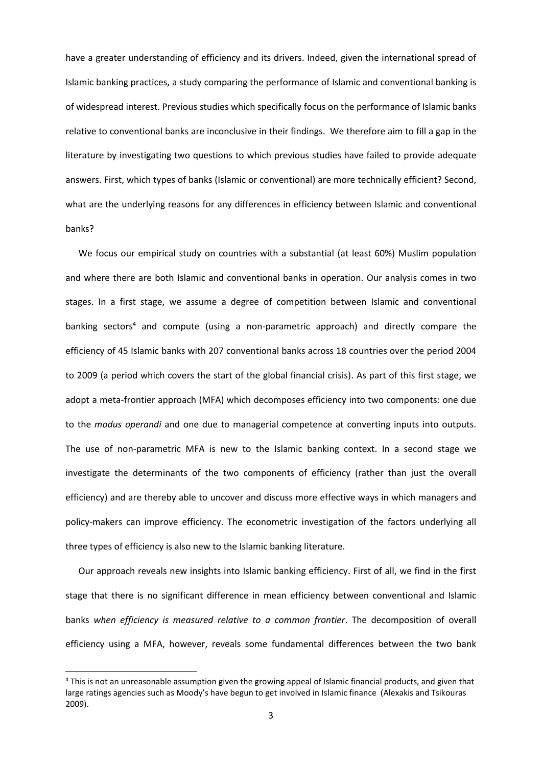have a greater understanding of efficiency and its drivers. Indeed, given the international spread of Islamic banking practices, a study comparing the performance of Islamic and conventional banking is of widespread interest. Previous studies which specifically focus on the performance of Islamic banks relative to conventional banks are inconclusive in their findings. We therefore aim to fill a gap in the literature by investigating two questions to which previous studies have failed to provide adequate answers. First, which types of banks (Islamic or conventional) are more technically efficient? Second, what are the underlying reasons for any differences in efficiency between Islamic and conventional banks?

We focus our empirical study on countries with a substantial (at least 60%) Muslim population and where there are both Islamic and conventional banks in operation. Our analysis comes in two stages. In a first stage, we assume a degree of competition between Islamic and conventional banking sectors<sup>4</sup> and compute (using a non-parametric approach) and directly compare the efficiency of 45 Islamic banks with 207 conventional banks across 18 countries over the period 2004 to 2009 (a period which covers the start of the global financial crisis). As part of this first stage, we adopt a meta-frontier approach (MFA) which decomposes efficiency into two components: one due to the *modus operandi* and one due to managerial competence at converting inputs into outputs. The use of non-parametric MFA is new to the Islamic banking context. In a second stage we investigate the determinants of the two components of efficiency (rather than just the overall efficiency) and are thereby able to uncover and discuss more effective ways in which managers and policy-makers can improve efficiency. The econometric investigation of the factors underlying all three types of efficiency is also new to the Islamic banking literature.

Our approach reveals new insights into Islamic banking efficiency. First of all, we find in the first stage that there is no significant difference in mean efficiency between conventional and Islamic banks *when efficiency is measured relative to a common frontier*. The decomposition of overall efficiency using a MFA, however, reveals some fundamental differences between the two bank

<sup>4</sup> This is not an unreasonable assumption given the growing appeal of Islamic financial products, and given that large ratings agencies such as Moody's have begun to get involved in Islamic finance [\(Alexakis and Tsikouras](#page-29-2)  [2009\)](#page-29-2).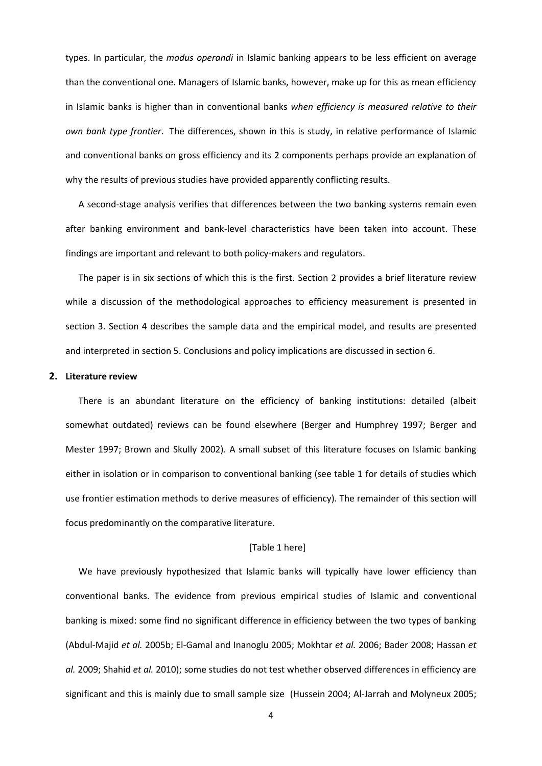types. In particular, the *modus operandi* in Islamic banking appears to be less efficient on average than the conventional one. Managers of Islamic banks, however, make up for this as mean efficiency in Islamic banks is higher than in conventional banks *when efficiency is measured relative to their own bank type frontier*. The differences, shown in this is study, in relative performance of Islamic and conventional banks on gross efficiency and its 2 components perhaps provide an explanation of why the results of previous studies have provided apparently conflicting results.

A second-stage analysis verifies that differences between the two banking systems remain even after banking environment and bank-level characteristics have been taken into account. These findings are important and relevant to both policy-makers and regulators.

The paper is in six sections of which this is the first. Section 2 provides a brief literature review while a discussion of the methodological approaches to efficiency measurement is presented in section 3. Section 4 describes the sample data and the empirical model, and results are presented and interpreted in section 5. Conclusions and policy implications are discussed in section 6.

#### **2. Literature review**

There is an abundant literature on the efficiency of banking institutions: detailed (albeit somewhat outdated) reviews can be found elsewhere [\(Berger and Humphrey 1997;](#page-29-3) [Berger and](#page-29-4)  [Mester 1997;](#page-29-4) [Brown and Skully 2002\)](#page-29-5). A small subset of this literature focuses on Islamic banking either in isolation or in comparison to conventional banking (see table 1 for details of studies which use frontier estimation methods to derive measures of efficiency). The remainder of this section will focus predominantly on the comparative literature.

# [Table 1 here]

We have previously hypothesized that Islamic banks will typically have lower efficiency than conventional banks. The evidence from previous empirical studies of Islamic and conventional banking is mixed: some find no significant difference in efficiency between the two types of banking [\(Abdul-Majid](#page-29-6) *et al.* 2005b; [El-Gamal and Inanoglu 2005;](#page-30-4) [Mokhtar](#page-31-2) *et al.* 2006; [Bader 2008;](#page-29-7) [Hassan](#page-30-5) *et al.* [2009;](#page-30-5) [Shahid](#page-32-3) *et al.* 2010); some studies do not test whether observed differences in efficiency are significant and this is mainly due to small sample size [\(Hussein 2004;](#page-31-3) [Al-Jarrah and Molyneux 2005;](#page-29-8)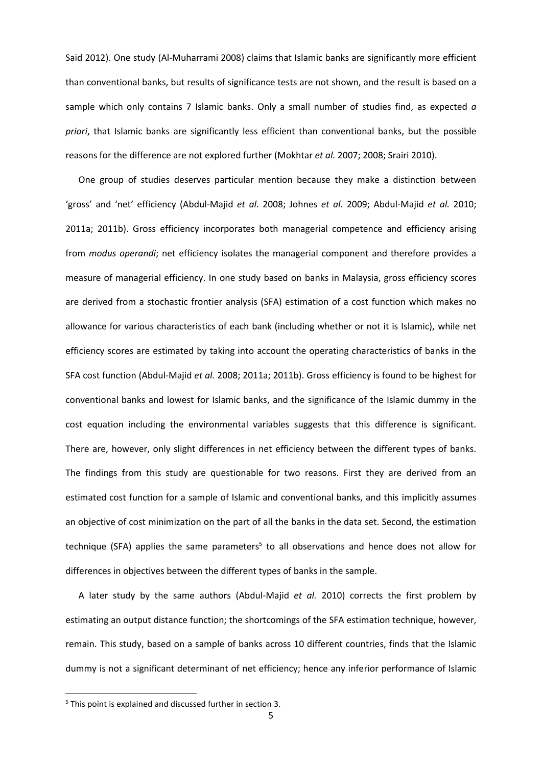[Said 2012\)](#page-32-4). One study [\(Al-Muharrami 2008\)](#page-29-9) claims that Islamic banks are significantly more efficient than conventional banks, but results of significance tests are not shown, and the result is based on a sample which only contains 7 Islamic banks. Only a small number of studies find, as expected *a priori*, that Islamic banks are significantly less efficient than conventional banks, but the possible reasons for the difference are not explored further [\(Mokhtar](#page-31-4) *et al.* 2007[; 2008;](#page-31-5) [Srairi 2010\)](#page-32-5).

One group of studies deserves particular mention because they make a distinction between 'gross' and 'net' efficiency [\(Abdul-Majid](#page-29-10) *et al.* 2008; [Johnes](#page-31-6) *et al.* 2009; [Abdul-Majid](#page-29-11) *et al.* 2010; [2011a;](#page-29-12) [2011b\)](#page-29-13). Gross efficiency incorporates both managerial competence and efficiency arising from *modus operandi*; net efficiency isolates the managerial component and therefore provides a measure of managerial efficiency. In one study based on banks in Malaysia, gross efficiency scores are derived from a stochastic frontier analysis (SFA) estimation of a cost function which makes no allowance for various characteristics of each bank (including whether or not it is Islamic), while net efficiency scores are estimated by taking into account the operating characteristics of banks in the SFA cost function [\(Abdul-Majid](#page-29-10) *et al.* 2008[; 2011a;](#page-29-12) [2011b\)](#page-29-13). Gross efficiency is found to be highest for conventional banks and lowest for Islamic banks, and the significance of the Islamic dummy in the cost equation including the environmental variables suggests that this difference is significant. There are, however, only slight differences in net efficiency between the different types of banks. The findings from this study are questionable for two reasons. First they are derived from an estimated cost function for a sample of Islamic and conventional banks, and this implicitly assumes an objective of cost minimization on the part of all the banks in the data set. Second, the estimation technique (SFA) applies the same parameters<sup>5</sup> to all observations and hence does not allow for differences in objectives between the different types of banks in the sample.

A later study by the same authors [\(Abdul-Majid](#page-29-11) *et al.* 2010) corrects the first problem by estimating an output distance function; the shortcomings of the SFA estimation technique, however, remain. This study, based on a sample of banks across 10 different countries, finds that the Islamic dummy is not a significant determinant of net efficiency; hence any inferior performance of Islamic

 $5$  This point is explained and discussed further in section 3.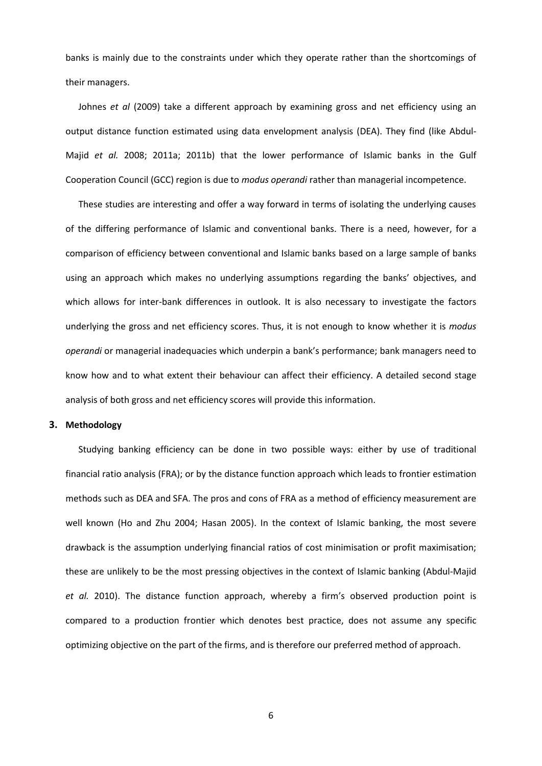banks is mainly due to the constraints under which they operate rather than the shortcomings of their managers.

Johnes *et al* (2009) take a different approach by examining gross and net efficiency using an output distance function estimated using data envelopment analysis (DEA). They find (like [Abdul-](#page-29-10)Majid *[et al.](#page-29-10)* 2008; [2011a;](#page-29-12) [2011b\)](#page-29-13) that the lower performance of Islamic banks in the Gulf Cooperation Council (GCC) region is due to *modus operandi* rather than managerial incompetence.

These studies are interesting and offer a way forward in terms of isolating the underlying causes of the differing performance of Islamic and conventional banks. There is a need, however, for a comparison of efficiency between conventional and Islamic banks based on a large sample of banks using an approach which makes no underlying assumptions regarding the banks' objectives, and which allows for inter-bank differences in outlook. It is also necessary to investigate the factors underlying the gross and net efficiency scores. Thus, it is not enough to know whether it is *modus operandi* or managerial inadequacies which underpin a bank's performance; bank managers need to know how and to what extent their behaviour can affect their efficiency. A detailed second stage analysis of both gross and net efficiency scores will provide this information.

# **3. Methodology**

Studying banking efficiency can be done in two possible ways: either by use of traditional financial ratio analysis (FRA); or by the distance function approach which leads to frontier estimation methods such as DEA and SFA. The pros and cons of FRA as a method of efficiency measurement are well known [\(Ho and Zhu 2004;](#page-31-7) [Hasan 2005\)](#page-30-6). In the context of Islamic banking, the most severe drawback is the assumption underlying financial ratios of cost minimisation or profit maximisation; these are unlikely to be the most pressing objectives in the context of Islamic banking [\(Abdul-Majid](#page-29-11) *[et al.](#page-29-11)* 2010). The distance function approach, whereby a firm's observed production point is compared to a production frontier which denotes best practice, does not assume any specific optimizing objective on the part of the firms, and is therefore our preferred method of approach.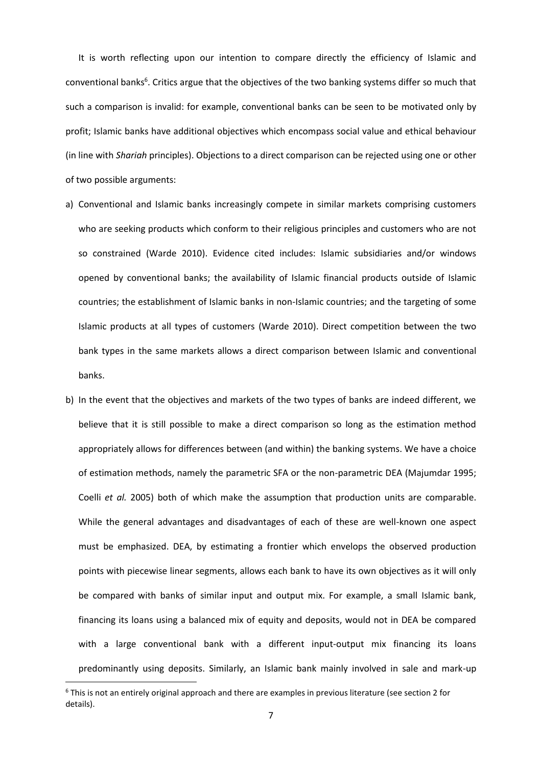It is worth reflecting upon our intention to compare directly the efficiency of Islamic and conventional banks<sup>6</sup>. Critics argue that the objectives of the two banking systems differ so much that such a comparison is invalid: for example, conventional banks can be seen to be motivated only by profit; Islamic banks have additional objectives which encompass social value and ethical behaviour (in line with *Shariah* principles). Objections to a direct comparison can be rejected using one or other of two possible arguments:

- a) Conventional and Islamic banks increasingly compete in similar markets comprising customers who are seeking products which conform to their religious principles and customers who are not so constrained [\(Warde 2010\)](#page-32-6). Evidence cited includes: Islamic subsidiaries and/or windows opened by conventional banks; the availability of Islamic financial products outside of Islamic countries; the establishment of Islamic banks in non-Islamic countries; and the targeting of some Islamic products at all types of customers [\(Warde 2010\)](#page-32-6). Direct competition between the two bank types in the same markets allows a direct comparison between Islamic and conventional banks.
- b) In the event that the objectives and markets of the two types of banks are indeed different, we believe that it is still possible to make a direct comparison so long as the estimation method appropriately allows for differences between (and within) the banking systems. We have a choice of estimation methods, namely the parametric SFA or the non-parametric DEA [\(Majumdar 1995;](#page-31-8) [Coelli](#page-30-7) *et al.* 2005) both of which make the assumption that production units are comparable. While the general advantages and disadvantages of each of these are well-known one aspect must be emphasized. DEA, by estimating a frontier which envelops the observed production points with piecewise linear segments, allows each bank to have its own objectives as it will only be compared with banks of similar input and output mix. For example, a small Islamic bank, financing its loans using a balanced mix of equity and deposits, would not in DEA be compared with a large conventional bank with a different input-output mix financing its loans predominantly using deposits. Similarly, an Islamic bank mainly involved in sale and mark-up **.**

<sup>&</sup>lt;sup>6</sup> This is not an entirely original approach and there are examples in previous literature (see section 2 for details).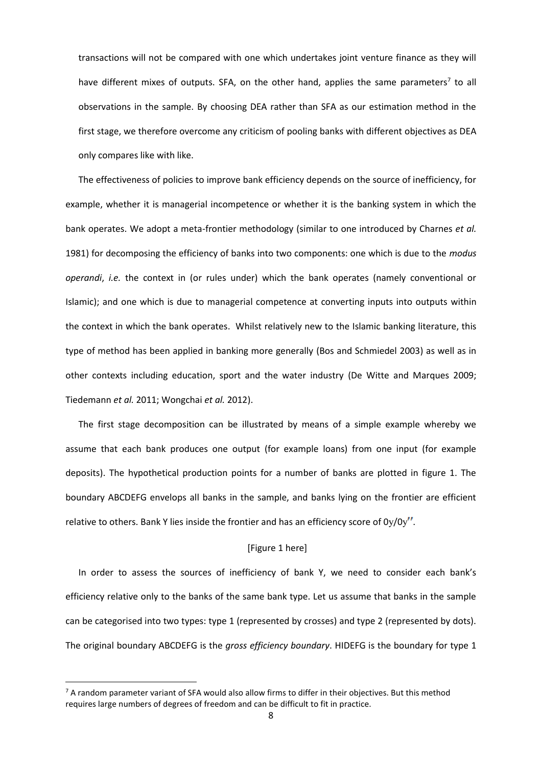transactions will not be compared with one which undertakes joint venture finance as they will have different mixes of outputs. SFA, on the other hand, applies the same parameters<sup>7</sup> to all observations in the sample. By choosing DEA rather than SFA as our estimation method in the first stage, we therefore overcome any criticism of pooling banks with different objectives as DEA only compares like with like.

The effectiveness of policies to improve bank efficiency depends on the source of inefficiency, for example, whether it is managerial incompetence or whether it is the banking system in which the bank operates. We adopt a meta-frontier methodology [\(similar to one introduced by Charnes](#page-30-8) *et al.* [1981\)](#page-30-8) for decomposing the efficiency of banks into two components: one which is due to the *modus operandi*, *i.e.* the context in (or rules under) which the bank operates (namely conventional or Islamic); and one which is due to managerial competence at converting inputs into outputs within the context in which the bank operates. Whilst relatively new to the Islamic banking literature, this type of method has been applied in banking more generally [\(Bos and Schmiedel 2003\)](#page-29-14) as well as in other contexts including education, sport and the water industry [\(De Witte and Marques 2009;](#page-30-9) [Tiedemann](#page-32-7) *et al.* 2011; [Wongchai](#page-32-8) *et al.* 2012).

The first stage decomposition can be illustrated by means of a simple example whereby we assume that each bank produces one output (for example loans) from one input (for example deposits). The hypothetical production points for a number of banks are plotted in figure 1. The boundary ABCDEFG envelops all banks in the sample, and banks lying on the frontier are efficient relative to others. Bank Y lies inside the frontier and has an efficiency score of  $0y/0y''$ .

# [Figure 1 here]

In order to assess the sources of inefficiency of bank Y, we need to consider each bank's efficiency relative only to the banks of the same bank type. Let us assume that banks in the sample can be categorised into two types: type 1 (represented by crosses) and type 2 (represented by dots). The original boundary ABCDEFG is the *gross efficiency boundary*. HIDEFG is the boundary for type 1

 $7$  A random parameter variant of SFA would also allow firms to differ in their objectives. But this method requires large numbers of degrees of freedom and can be difficult to fit in practice.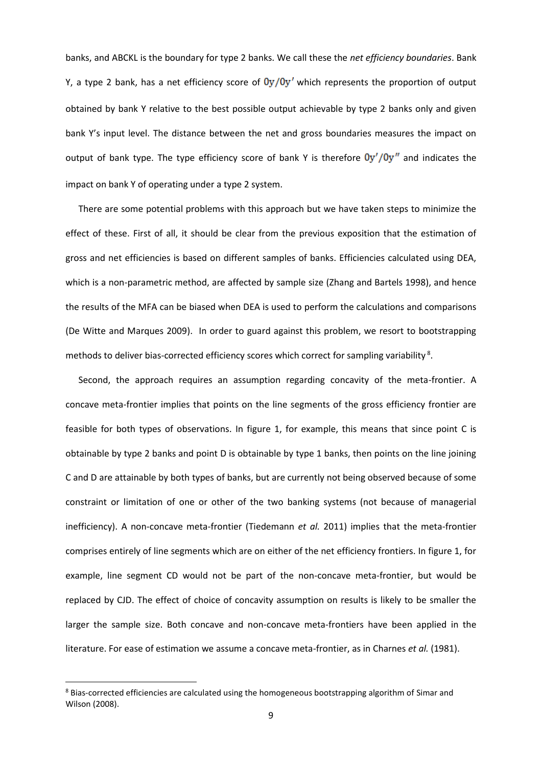banks, and ABCKL is the boundary for type 2 banks. We call these the *net efficiency boundaries*. Bank Y, a type 2 bank, has a net efficiency score of  $0y/0y'$  which represents the proportion of output obtained by bank Y relative to the best possible output achievable by type 2 banks only and given bank Y's input level. The distance between the net and gross boundaries measures the impact on output of bank type. The type efficiency score of bank Y is therefore  $0y'/0y''$  and indicates the impact on bank Y of operating under a type 2 system.

There are some potential problems with this approach but we have taken steps to minimize the effect of these. First of all, it should be clear from the previous exposition that the estimation of gross and net efficiencies is based on different samples of banks. Efficiencies calculated using DEA, which is a non-parametric method, are affected by sample size [\(Zhang and Bartels 1998\)](#page-32-9), and hence the results of the MFA can be biased when DEA is used to perform the calculations and comparisons [\(De Witte and Marques 2009\)](#page-30-9). In order to guard against this problem, we resort to bootstrapping methods to deliver bias-corrected efficiency scores which correct for sampling variability<sup>8</sup>.

Second, the approach requires an assumption regarding concavity of the meta-frontier. A concave meta-frontier implies that points on the line segments of the gross efficiency frontier are feasible for both types of observations. In figure 1, for example, this means that since point C is obtainable by type 2 banks and point D is obtainable by type 1 banks, then points on the line joining C and D are attainable by both types of banks, but are currently not being observed because of some constraint or limitation of one or other of the two banking systems (not because of managerial inefficiency). A non-concave meta-frontier [\(Tiedemann](#page-32-7) *et al.* 2011) implies that the meta-frontier comprises entirely of line segments which are on either of the net efficiency frontiers. In figure 1, for example, line segment CD would not be part of the non-concave meta-frontier, but would be replaced by CJD. The effect of choice of concavity assumption on results is likely to be smaller the larger the sample size. Both concave and non-concave meta-frontiers have been applied in the literature. For ease of estimation we assume a concave meta-frontier, as i[n Charnes](#page-30-8) *et al.* (1981).

<sup>&</sup>lt;sup>8</sup> Bias-corrected efficiencies are calculated using the homogeneous bootstrapping algorithm of Simar and [Wilson \(2008\)](#page-32-10).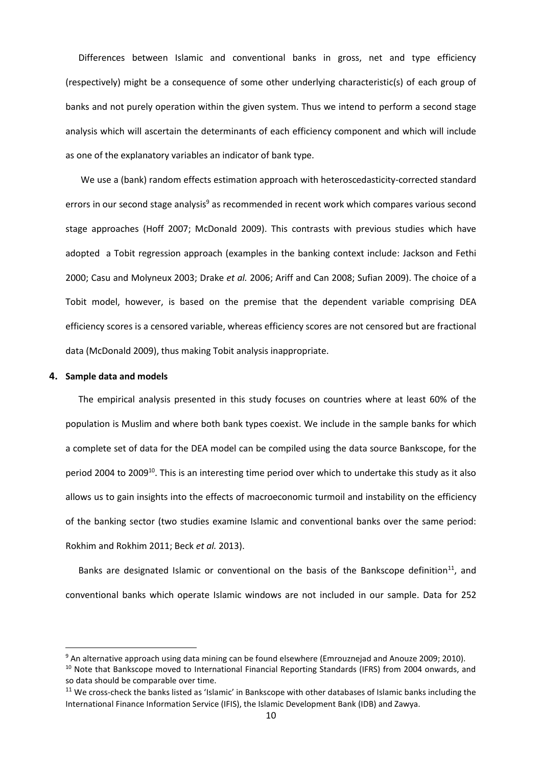Differences between Islamic and conventional banks in gross, net and type efficiency (respectively) might be a consequence of some other underlying characteristic(s) of each group of banks and not purely operation within the given system. Thus we intend to perform a second stage analysis which will ascertain the determinants of each efficiency component and which will include as one of the explanatory variables an indicator of bank type.

We use a (bank) random effects estimation approach with heteroscedasticity-corrected standard errors in our second stage analysis<sup>9</sup> as recommended in recent work which compares various second stage approaches (Hoff 2007; McDonald 2009). This contrasts with previous studies which have adopted a Tobit regression approach (examples in the banking context include: [Jackson and Fethi](#page-31-9)  [2000;](#page-31-9) [Casu and Molyneux 2003;](#page-29-15) [Drake](#page-30-3) *et al.* 2006; [Ariff and Can 2008;](#page-29-16) [Sufian 2009\)](#page-32-11). The choice of a Tobit model, however, is based on the premise that the dependent variable comprising DEA efficiency scores is a censored variable, whereas efficiency scores are not censored but are fractional data (McDonald 2009), thus making Tobit analysis inappropriate.

#### **4. Sample data and models**

1

The empirical analysis presented in this study focuses on countries where at least 60% of the population is Muslim and where both bank types coexist. We include in the sample banks for which a complete set of data for the DEA model can be compiled using the data source Bankscope, for the period 2004 to 2009<sup>10</sup>. This is an interesting time period over which to undertake this study as it also allows us to gain insights into the effects of macroeconomic turmoil and instability on the efficiency of the banking sector (two studies examine Islamic and conventional banks over the same period: [Rokhim and Rokhim 2011;](#page-32-12) Beck *et al.* [2013\)](#page-29-17).

Banks are designated Islamic or conventional on the basis of the Bankscope definition<sup>11</sup>, and conventional banks which operate Islamic windows are not included in our sample. Data for 252

<sup>9</sup> An alternative approach using data mining can be found elsewhere [\(Emrouznejad and Anouze 2009;](#page-30-10) [2010\)](#page-30-11).

<sup>&</sup>lt;sup>10</sup> Note that Bankscope moved to International Financial Reporting Standards (IFRS) from 2004 onwards, and so data should be comparable over time.

<sup>&</sup>lt;sup>11</sup> We cross-check the banks listed as 'Islamic' in Bankscope with other databases of Islamic banks including the International Finance Information Service (IFIS), the Islamic Development Bank (IDB) and Zawya.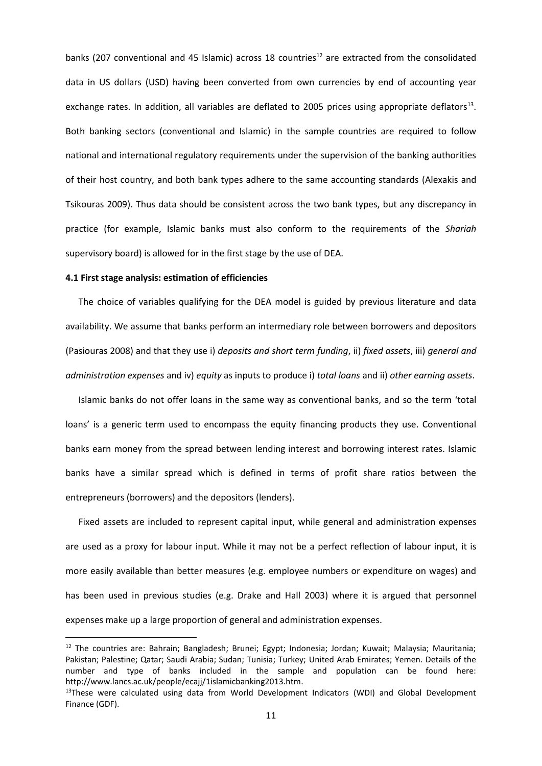banks (207 conventional and 45 Islamic) across 18 countries<sup>12</sup> are extracted from the consolidated data in US dollars (USD) having been converted from own currencies by end of accounting year exchange rates. In addition, all variables are deflated to 2005 prices using appropriate deflators<sup>13</sup>. Both banking sectors (conventional and Islamic) in the sample countries are required to follow national and international regulatory requirements under the supervision of the banking authorities of their host country, and both bank types adhere to the same accounting standards [\(Alexakis and](#page-29-2)  [Tsikouras 2009\)](#page-29-2). Thus data should be consistent across the two bank types, but any discrepancy in practice (for example, Islamic banks must also conform to the requirements of the *Shariah* supervisory board) is allowed for in the first stage by the use of DEA.

#### **4.1 First stage analysis: estimation of efficiencies**

**.** 

The choice of variables qualifying for the DEA model is guided by previous literature and data availability. We assume that banks perform an intermediary role between borrowers and depositors [\(Pasiouras 2008\)](#page-31-10) and that they use i) *deposits and short term funding*, ii) *fixed assets*, iii) *general and administration expenses* and iv) *equity* as inputs to produce i) *total loans* and ii) *other earning assets*.

Islamic banks do not offer loans in the same way as conventional banks, and so the term 'total loans' is a generic term used to encompass the equity financing products they use. Conventional banks earn money from the spread between lending interest and borrowing interest rates. Islamic banks have a similar spread which is defined in terms of profit share ratios between the entrepreneurs (borrowers) and the depositors (lenders).

Fixed assets are included to represent capital input, while general and administration expenses are used as a proxy for labour input. While it may not be a perfect reflection of labour input, it is more easily available than better measures (e.g. employee numbers or expenditure on wages) and has been used in previous studies [\(e.g. Drake and Hall 2003\)](#page-30-12) where it is argued that personnel expenses make up a large proportion of general and administration expenses.

<sup>&</sup>lt;sup>12</sup> The countries are: Bahrain; Bangladesh; Brunei; Egypt; Indonesia; Jordan; Kuwait; Malaysia; Mauritania; Pakistan; Palestine; Qatar; Saudi Arabia; Sudan; Tunisia; Turkey; United Arab Emirates; Yemen. Details of the number and type of banks included in the sample and population can be found here: http://www.lancs.ac.uk/people/ecajj/1islamicbanking2013.htm.

 $13$ These were calculated using data from World Development Indicators (WDI) and Global Development Finance (GDF).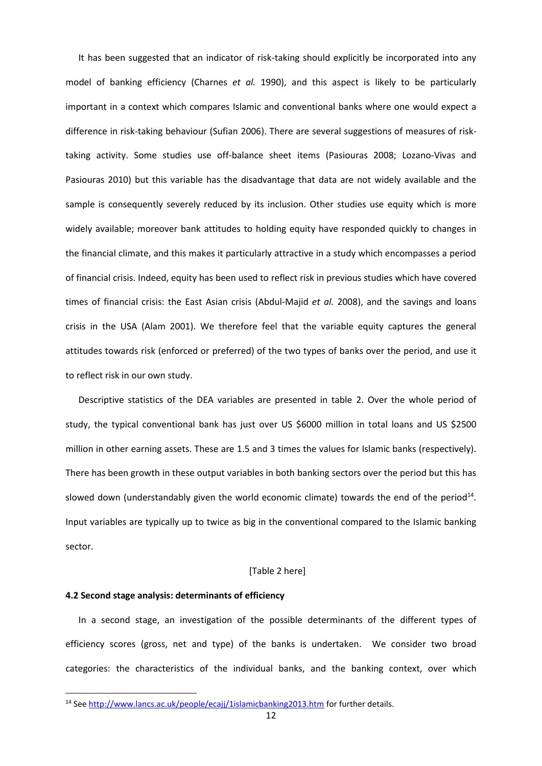It has been suggested that an indicator of risk-taking should explicitly be incorporated into any model of banking efficiency [\(Charnes](#page-30-13) *et al.* 1990), and this aspect is likely to be particularly important in a context which compares Islamic and conventional banks where one would expect a difference in risk-taking behaviour [\(Sufian 2006\)](#page-32-13). There are several suggestions of measures of risktaking activity. Some studies use off-balance sheet items [\(Pasiouras 2008;](#page-31-10) [Lozano-Vivas and](#page-31-11) [Pasiouras 2010\)](#page-31-11) but this variable has the disadvantage that data are not widely available and the sample is consequently severely reduced by its inclusion. Other studies use equity which is more widely available; moreover bank attitudes to holding equity have responded quickly to changes in the financial climate, and this makes it particularly attractive in a study which encompasses a period of financial crisis. Indeed, equity has been used to reflect risk in previous studies which have covered times of financial crisis: the East Asian crisis [\(Abdul-Majid](#page-29-10) *et al.* 2008), and the savings and loans crisis in the USA [\(Alam 2001\)](#page-29-18). We therefore feel that the variable equity captures the general attitudes towards risk (enforced or preferred) of the two types of banks over the period, and use it to reflect risk in our own study.

Descriptive statistics of the DEA variables are presented in table 2. Over the whole period of study, the typical conventional bank has just over US \$6000 million in total loans and US \$2500 million in other earning assets. These are 1.5 and 3 times the values for Islamic banks (respectively). There has been growth in these output variables in both banking sectors over the period but this has slowed down (understandably given the world economic climate) towards the end of the period<sup>14</sup>. Input variables are typically up to twice as big in the conventional compared to the Islamic banking sector.

#### [Table 2 here]

# **4.2 Second stage analysis: determinants of efficiency**

**.** 

In a second stage, an investigation of the possible determinants of the different types of efficiency scores (gross, net and type) of the banks is undertaken. We consider two broad categories: the characteristics of the individual banks, and the banking context, over which

<sup>&</sup>lt;sup>14</sup> Se[e http://www.lancs.ac.uk/people/ecajj/1islamicbanking2013.htm](http://www.lancs.ac.uk/people/ecajj/1islamicbanking2013.htm) for further details.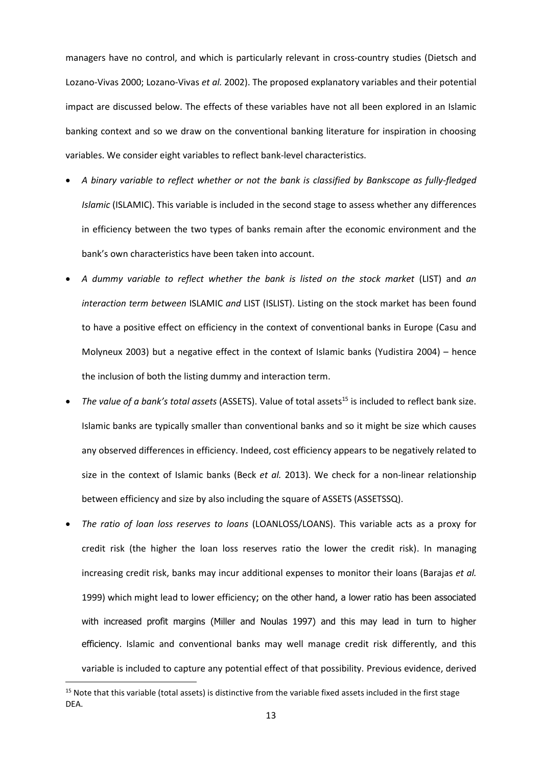managers have no control, and which is particularly relevant in cross-country studies [\(Dietsch and](#page-30-14)  [Lozano-Vivas 2000;](#page-30-14) [Lozano-Vivas](#page-31-12) *et al.* 2002). The proposed explanatory variables and their potential impact are discussed below. The effects of these variables have not all been explored in an Islamic banking context and so we draw on the conventional banking literature for inspiration in choosing variables. We consider eight variables to reflect bank-level characteristics.

- *A binary variable to reflect whether or not the bank is classified by Bankscope as fully-fledged Islamic* (ISLAMIC). This variable is included in the second stage to assess whether any differences in efficiency between the two types of banks remain after the economic environment and the bank's own characteristics have been taken into account.
- *A dummy variable to reflect whether the bank is listed on the stock market* (LIST) and *an interaction term between* ISLAMIC *and* LIST (ISLIST). Listing on the stock market has been found to have a positive effect on efficiency in the context of conventional banks in Europe [\(Casu and](#page-29-15)  [Molyneux 2003\)](#page-29-15) but a negative effect in the context of Islamic banks [\(Yudistira 2004\)](#page-32-14) – hence the inclusion of both the listing dummy and interaction term.
- *The value of a bank's total assets* (ASSETS). Value of total assets<sup>15</sup> is included to reflect bank size. Islamic banks are typically smaller than conventional banks and so it might be size which causes any observed differences in efficiency. Indeed, cost efficiency appears to be negatively related to size in the context of Islamic banks (Beck *et al.* [2013\)](#page-29-17). We check for a non-linear relationship between efficiency and size by also including the square of ASSETS (ASSETSSQ).
- *The ratio of loan loss reserves to loans* (LOANLOSS/LOANS). This variable acts as a proxy for credit risk (the higher the loan loss reserves ratio the lower the credit risk). In managing increasing credit risk, banks may incur additional expenses to monitor their loans [\(Barajas](#page-29-19) *et al.* [1999\)](#page-29-19) which might lead to lower efficiency; on the other hand, a lower ratio has been associated with increased profit margins [\(Miller and Noulas 1997\)](#page-31-13) and this may lead in turn to higher efficiency. Islamic and conventional banks may well manage credit risk differently, and this variable is included to capture any potential effect of that possibility. Previous evidence, derived **.**

<sup>&</sup>lt;sup>15</sup> Note that this variable (total assets) is distinctive from the variable fixed assets included in the first stage DEA.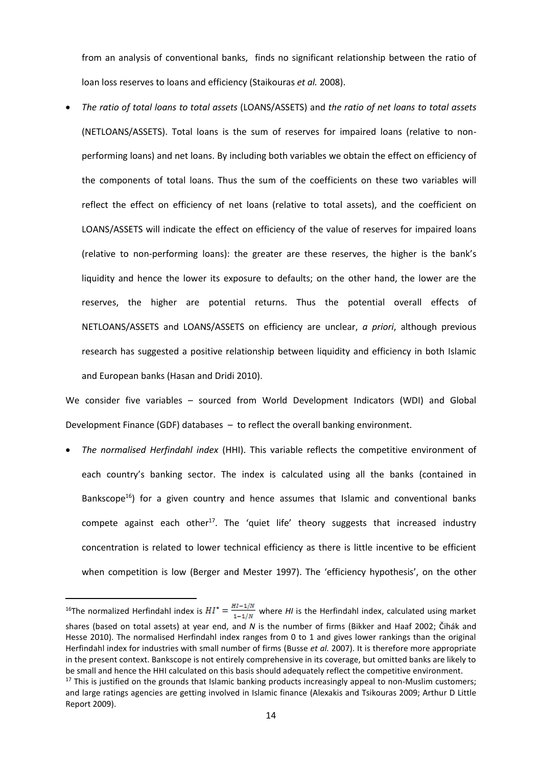from an analysis of conventional banks, finds no significant relationship between the ratio of loan loss reserves to loans and efficiency [\(Staikouras](#page-32-15) *et al.* 2008).

 *The ratio of total loans to total assets* (LOANS/ASSETS) and *the ratio of net loans to total assets* (NETLOANS/ASSETS). Total loans is the sum of reserves for impaired loans (relative to nonperforming loans) and net loans. By including both variables we obtain the effect on efficiency of the components of total loans. Thus the sum of the coefficients on these two variables will reflect the effect on efficiency of net loans (relative to total assets), and the coefficient on LOANS/ASSETS will indicate the effect on efficiency of the value of reserves for impaired loans (relative to non-performing loans): the greater are these reserves, the higher is the bank's liquidity and hence the lower its exposure to defaults; on the other hand, the lower are the reserves, the higher are potential returns. Thus the potential overall effects of NETLOANS/ASSETS and LOANS/ASSETS on efficiency are unclear, *a priori*, although previous research has suggested a positive relationship between liquidity and efficiency in both Islamic and European banks [\(Hasan and Dridi 2010\)](#page-30-0).

We consider five variables – sourced from World Development Indicators (WDI) and Global Development Finance (GDF) databases – to reflect the overall banking environment.

 *The normalised Herfindahl index* (HHI). This variable reflects the competitive environment of each country's banking sector. The index is calculated using all the banks (contained in Bankscope $^{16}$ ) for a given country and hence assumes that Islamic and conventional banks compete against each other<sup>17</sup>. The 'quiet life' theory suggests that increased industry concentration is related to lower technical efficiency as there is little incentive to be efficient when competition is low [\(Berger and Mester 1997\)](#page-29-4). The 'efficiency hypothesis', on the other

**<sup>.</sup>** <sup>16</sup>The normalized Herfindahl index is  $HI^* = \frac{H^2 - 2H^*}{4.44M}$  where *HI* is the Herfindahl index, calculated using market shares (based on total assets) at year end, and *N* is the number of firms [\(Bikker and Haaf 2002;](#page-29-20) [Čihák and](#page-30-15)  [Hesse 2010\)](#page-30-15). The normalised Herfindahl index ranges from 0 to 1 and gives lower rankings than the original Herfindahl index for industries with small number of firms [\(Busse](#page-29-21) *et al.* 2007). It is therefore more appropriate in the present context. Bankscope is not entirely comprehensive in its coverage, but omitted banks are likely to be small and hence the HHI calculated on this basis should adequately reflect the competitive environment.

<sup>&</sup>lt;sup>17</sup> This is justified on the grounds that Islamic banking products increasingly appeal to non-Muslim customers; and large ratings agencies are getting involved in Islamic finance [\(Alexakis and Tsikouras 2009;](#page-29-2) [Arthur D Little](#page-29-0)  [Report 2009\)](#page-29-0).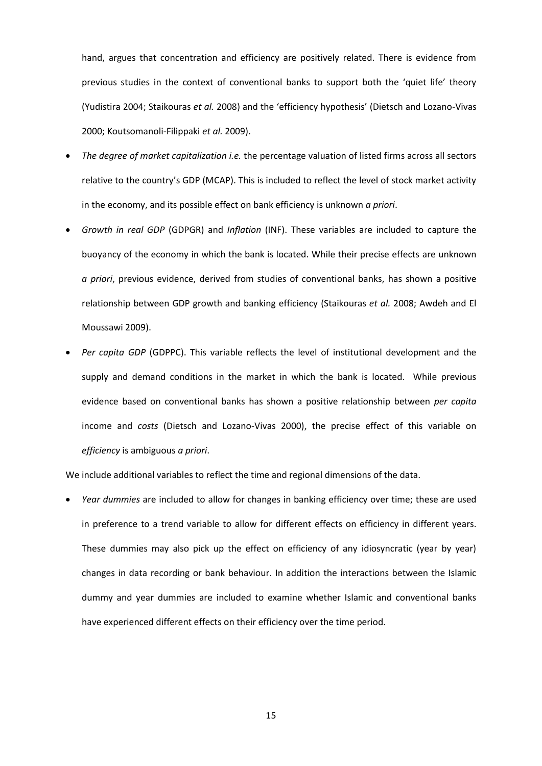hand, argues that concentration and efficiency are positively related. There is evidence from previous studies in the context of conventional banks to support both the 'quiet life' theory [\(Yudistira 2004;](#page-32-14) [Staikouras](#page-32-15) *et al.* 2008) and the 'efficiency hypothesis' [\(Dietsch and Lozano-Vivas](#page-30-14)  [2000;](#page-30-14) [Koutsomanoli-Filippaki](#page-31-14) *et al.* 2009).

- *The degree of market capitalization i.e.* the percentage valuation of listed firms across all sectors relative to the country's GDP (MCAP). This is included to reflect the level of stock market activity in the economy, and its possible effect on bank efficiency is unknown *a priori*.
- *Growth in real GDP* (GDPGR) and *Inflation* (INF). These variables are included to capture the buoyancy of the economy in which the bank is located. While their precise effects are unknown *a priori*, previous evidence, derived from studies of conventional banks, has shown a positive relationship between GDP growth and banking efficiency [\(Staikouras](#page-32-15) *et al.* 2008; [Awdeh and El](#page-29-22)  [Moussawi 2009\)](#page-29-22).
- *Per capita GDP* (GDPPC). This variable reflects the level of institutional development and the supply and demand conditions in the market in which the bank is located. While previous evidence based on conventional banks has shown a positive relationship between *per capita* income and *costs* [\(Dietsch and Lozano-Vivas 2000\)](#page-30-14), the precise effect of this variable on *efficiency* is ambiguous *a priori*.

We include additional variables to reflect the time and regional dimensions of the data.

 *Year dummies* are included to allow for changes in banking efficiency over time; these are used in preference to a trend variable to allow for different effects on efficiency in different years. These dummies may also pick up the effect on efficiency of any idiosyncratic (year by year) changes in data recording or bank behaviour. In addition the interactions between the Islamic dummy and year dummies are included to examine whether Islamic and conventional banks have experienced different effects on their efficiency over the time period.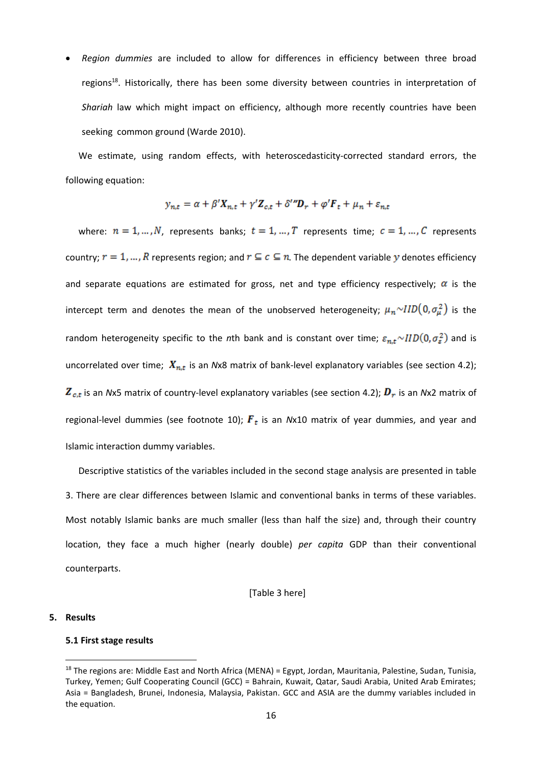*Region dummies* are included to allow for differences in efficiency between three broad regions<sup>18</sup>. Historically, there has been some diversity between countries in interpretation of *Shariah* law which might impact on efficiency, although more recently countries have been seeking common ground [\(Warde 2010\)](#page-32-6).

We estimate, using random effects, with heteroscedasticity-corrected standard errors, the following equation:

$$
y_{n,t} = \alpha + \beta' X_{n,t} + \gamma' Z_{c,t} + \delta''' D_r + \varphi' F_t + \mu_n + \varepsilon_{n,t}
$$

where:  $n = 1, ..., N$ , represents banks;  $t = 1, ..., T$  represents time;  $c = 1, ..., C$  represents country;  $r=1,...,R$  represents region; and  $r \subseteq c \subseteq n$ . The dependent variable y denotes efficiency and separate equations are estimated for gross, net and type efficiency respectively;  $\alpha$  is the intercept term and denotes the mean of the unobserved heterogeneity;  $\mu_n \sim IID(0, \sigma_u^2)$  is the random heterogeneity specific to the *n*th bank and is constant over time;  $\varepsilon_{n,t} \sim \text{IID}(0, \sigma_s^2)$  and is uncorrelated over time;  $X_{n,t}$  is an *Nx8* matrix of bank-level explanatory variables (see section 4.2);  $\mathbf{Z}_{c,t}$  is an *N*x5 matrix of country-level explanatory variables (see section 4.2);  $\mathbf{D}_r$  is an *N*x2 matrix of regional-level dummies (see footnote 10);  $\mathbf{F}_t$  is an *Nx10* matrix of year dummies, and year and Islamic interaction dummy variables.

Descriptive statistics of the variables included in the second stage analysis are presented in table 3. There are clear differences between Islamic and conventional banks in terms of these variables. Most notably Islamic banks are much smaller (less than half the size) and, through their country location, they face a much higher (nearly double) *per capita* GDP than their conventional counterparts.

[Table 3 here]

#### **5. Results**

**.** 

#### **5.1 First stage results**

<sup>&</sup>lt;sup>18</sup> The regions are: Middle East and North Africa (MENA) = Egypt, Jordan, Mauritania, Palestine, Sudan, Tunisia, Turkey, Yemen; Gulf Cooperating Council (GCC) = Bahrain, Kuwait, Qatar, Saudi Arabia, United Arab Emirates; Asia = Bangladesh, Brunei, Indonesia, Malaysia, Pakistan. GCC and ASIA are the dummy variables included in the equation.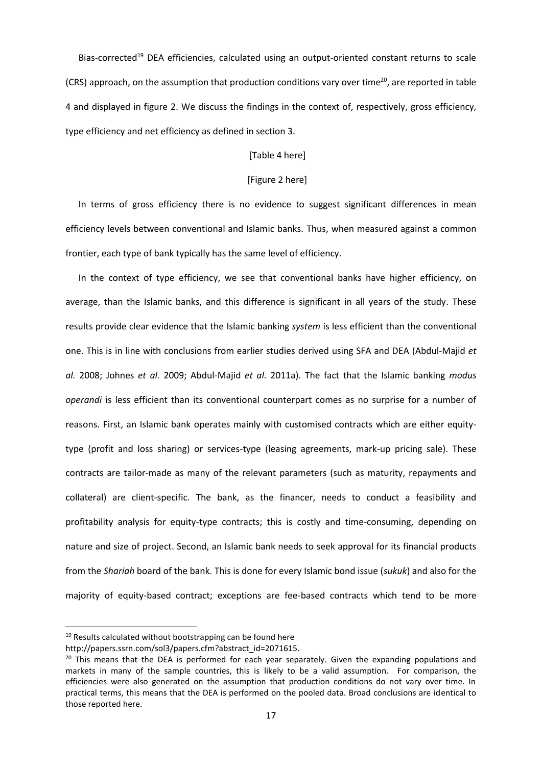Bias-corrected<sup>19</sup> DEA efficiencies, calculated using an output-oriented constant returns to scale (CRS) approach, on the assumption that production conditions vary over time<sup>20</sup>, are reported in table 4 and displayed in figure 2. We discuss the findings in the context of, respectively, gross efficiency, type efficiency and net efficiency as defined in section 3.

#### [Table 4 here]

#### [Figure 2 here]

In terms of gross efficiency there is no evidence to suggest significant differences in mean efficiency levels between conventional and Islamic banks. Thus, when measured against a common frontier, each type of bank typically has the same level of efficiency.

In the context of type efficiency, we see that conventional banks have higher efficiency, on average, than the Islamic banks, and this difference is significant in all years of the study. These results provide clear evidence that the Islamic banking *system* is less efficient than the conventional one. This is in line with conclusions from earlier studies derived using SFA and DEA [\(Abdul-Majid](#page-29-10) *et al.* [2008;](#page-29-10) [Johnes](#page-31-6) *et al.* 2009; [Abdul-Majid](#page-29-12) *et al.* 2011a). The fact that the Islamic banking *modus operandi* is less efficient than its conventional counterpart comes as no surprise for a number of reasons. First, an Islamic bank operates mainly with customised contracts which are either equitytype (profit and loss sharing) or services-type (leasing agreements, mark-up pricing sale). These contracts are tailor-made as many of the relevant parameters (such as maturity, repayments and collateral) are client-specific. The bank, as the financer, needs to conduct a feasibility and profitability analysis for equity-type contracts; this is costly and time-consuming, depending on nature and size of project. Second, an Islamic bank needs to seek approval for its financial products from the *Shariah* board of the bank. This is done for every Islamic bond issue (*sukuk*) and also for the majority of equity-based contract; exceptions are fee-based contracts which tend to be more

<sup>&</sup>lt;sup>19</sup> Results calculated without bootstrapping can be found here

http://papers.ssrn.com/sol3/papers.cfm?abstract\_id=2071615.

 $20$  This means that the DEA is performed for each year separately. Given the expanding populations and markets in many of the sample countries, this is likely to be a valid assumption. For comparison, the efficiencies were also generated on the assumption that production conditions do not vary over time. In practical terms, this means that the DEA is performed on the pooled data. Broad conclusions are identical to those reported here.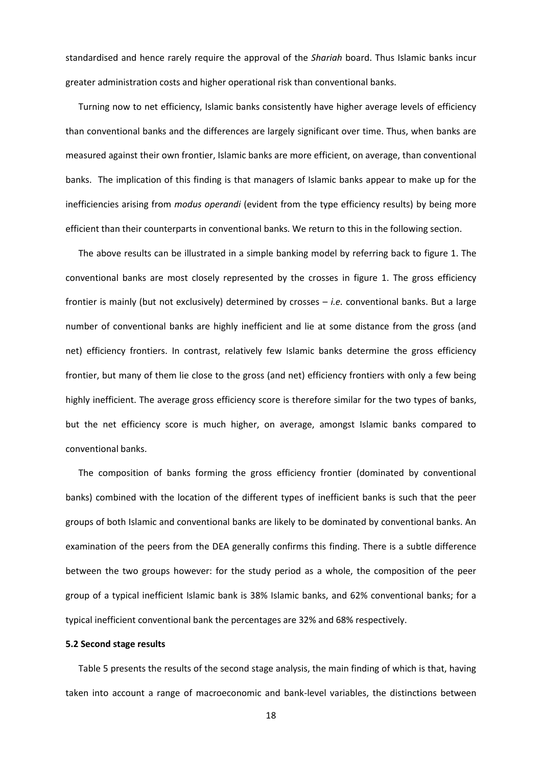standardised and hence rarely require the approval of the *Shariah* board. Thus Islamic banks incur greater administration costs and higher operational risk than conventional banks.

Turning now to net efficiency, Islamic banks consistently have higher average levels of efficiency than conventional banks and the differences are largely significant over time. Thus, when banks are measured against their own frontier, Islamic banks are more efficient, on average, than conventional banks. The implication of this finding is that managers of Islamic banks appear to make up for the inefficiencies arising from *modus operandi* (evident from the type efficiency results) by being more efficient than their counterparts in conventional banks. We return to this in the following section.

The above results can be illustrated in a simple banking model by referring back to figure 1. The conventional banks are most closely represented by the crosses in figure 1. The gross efficiency frontier is mainly (but not exclusively) determined by crosses – *i.e.* conventional banks. But a large number of conventional banks are highly inefficient and lie at some distance from the gross (and net) efficiency frontiers. In contrast, relatively few Islamic banks determine the gross efficiency frontier, but many of them lie close to the gross (and net) efficiency frontiers with only a few being highly inefficient. The average gross efficiency score is therefore similar for the two types of banks, but the net efficiency score is much higher, on average, amongst Islamic banks compared to conventional banks.

The composition of banks forming the gross efficiency frontier (dominated by conventional banks) combined with the location of the different types of inefficient banks is such that the peer groups of both Islamic and conventional banks are likely to be dominated by conventional banks. An examination of the peers from the DEA generally confirms this finding. There is a subtle difference between the two groups however: for the study period as a whole, the composition of the peer group of a typical inefficient Islamic bank is 38% Islamic banks, and 62% conventional banks; for a typical inefficient conventional bank the percentages are 32% and 68% respectively.

#### **5.2 Second stage results**

Table 5 presents the results of the second stage analysis, the main finding of which is that, having taken into account a range of macroeconomic and bank-level variables, the distinctions between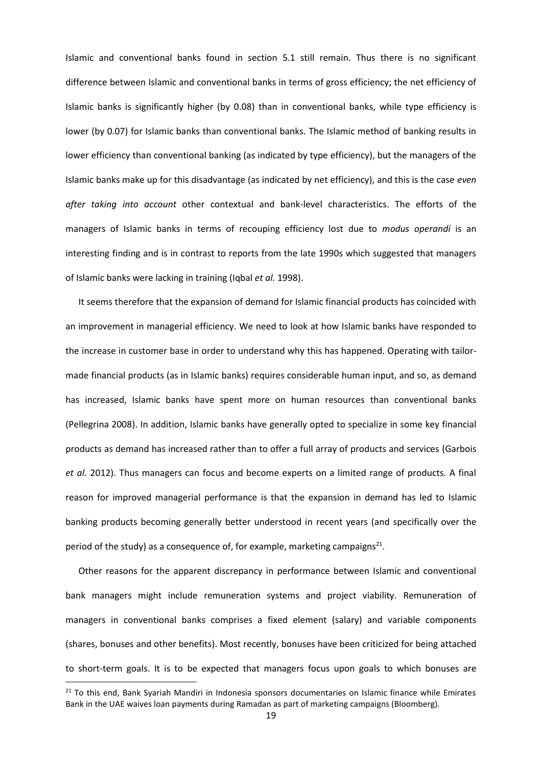Islamic and conventional banks found in section 5.1 still remain. Thus there is no significant difference between Islamic and conventional banks in terms of gross efficiency; the net efficiency of Islamic banks is significantly higher (by 0.08) than in conventional banks, while type efficiency is lower (by 0.07) for Islamic banks than conventional banks. The Islamic method of banking results in lower efficiency than conventional banking (as indicated by type efficiency), but the managers of the Islamic banks make up for this disadvantage (as indicated by net efficiency), and this is the case *even after taking into account* other contextual and bank-level characteristics. The efforts of the managers of Islamic banks in terms of recouping efficiency lost due to *modus operandi* is an interesting finding and is in contrast to reports from the late 1990s which suggested that managers of Islamic banks were lacking in training [\(Iqbal](#page-31-15) *et al.* 1998).

It seems therefore that the expansion of demand for Islamic financial products has coincided with an improvement in managerial efficiency. We need to look at how Islamic banks have responded to the increase in customer base in order to understand why this has happened. Operating with tailormade financial products (as in Islamic banks) requires considerable human input, and so, as demand has increased, Islamic banks have spent more on human resources than conventional banks [\(Pellegrina 2008\)](#page-31-16). In addition, Islamic banks have generally opted to specialize in some key financial products as demand has increased rather than to offer a full array of products and services [\(Garbois](#page-30-16) *et al.* [2012\)](#page-30-16). Thus managers can focus and become experts on a limited range of products. A final reason for improved managerial performance is that the expansion in demand has led to Islamic banking products becoming generally better understood in recent years (and specifically over the period of the study) as a consequence of, for example, marketing campaigns<sup>21</sup>.

Other reasons for the apparent discrepancy in performance between Islamic and conventional bank managers might include remuneration systems and project viability. Remuneration of managers in conventional banks comprises a fixed element (salary) and variable components (shares, bonuses and other benefits). Most recently, bonuses have been criticized for being attached to short-term goals. It is to be expected that managers focus upon goals to which bonuses are

<sup>&</sup>lt;sup>21</sup> To this end, Bank Syariah Mandiri in Indonesia sponsors documentaries on Islamic finance while Emirates Bank in the UAE waives loan payments during Ramadan as part of marketing campaigns (Bloomberg).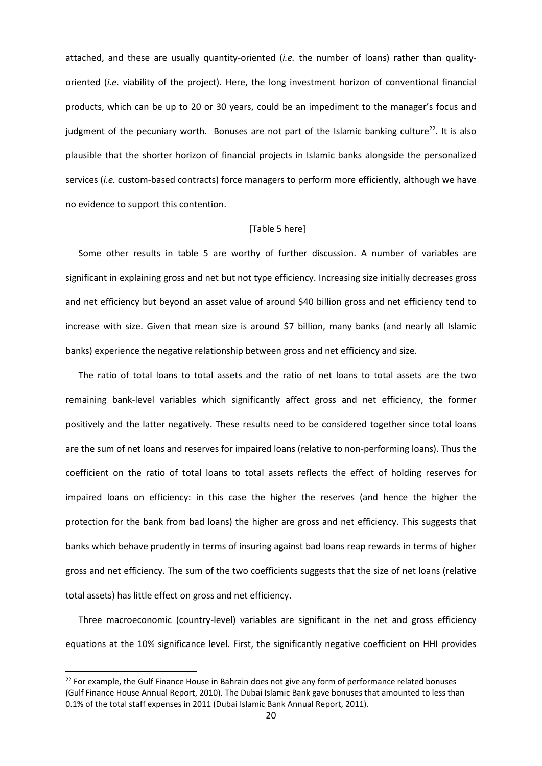attached, and these are usually quantity-oriented (*i.e.* the number of loans) rather than qualityoriented (*i.e.* viability of the project). Here, the long investment horizon of conventional financial products, which can be up to 20 or 30 years, could be an impediment to the manager's focus and judgment of the pecuniary worth. Bonuses are not part of the Islamic banking culture<sup>22</sup>. It is also plausible that the shorter horizon of financial projects in Islamic banks alongside the personalized services (*i.e.* custom-based contracts) force managers to perform more efficiently, although we have no evidence to support this contention.

#### [Table 5 here]

Some other results in table 5 are worthy of further discussion. A number of variables are significant in explaining gross and net but not type efficiency. Increasing size initially decreases gross and net efficiency but beyond an asset value of around \$40 billion gross and net efficiency tend to increase with size. Given that mean size is around \$7 billion, many banks (and nearly all Islamic banks) experience the negative relationship between gross and net efficiency and size.

The ratio of total loans to total assets and the ratio of net loans to total assets are the two remaining bank-level variables which significantly affect gross and net efficiency, the former positively and the latter negatively. These results need to be considered together since total loans are the sum of net loans and reserves for impaired loans (relative to non-performing loans). Thus the coefficient on the ratio of total loans to total assets reflects the effect of holding reserves for impaired loans on efficiency: in this case the higher the reserves (and hence the higher the protection for the bank from bad loans) the higher are gross and net efficiency. This suggests that banks which behave prudently in terms of insuring against bad loans reap rewards in terms of higher gross and net efficiency. The sum of the two coefficients suggests that the size of net loans (relative total assets) has little effect on gross and net efficiency.

Three macroeconomic (country-level) variables are significant in the net and gross efficiency equations at the 10% significance level. First, the significantly negative coefficient on HHI provides

<sup>&</sup>lt;sup>22</sup> For example, the Gulf Finance House in Bahrain does not give any form of performance related bonuses (Gulf Finance House Annual Report, 2010). The Dubai Islamic Bank gave bonuses that amounted to less than 0.1% of the total staff expenses in 2011 (Dubai Islamic Bank Annual Report, 2011).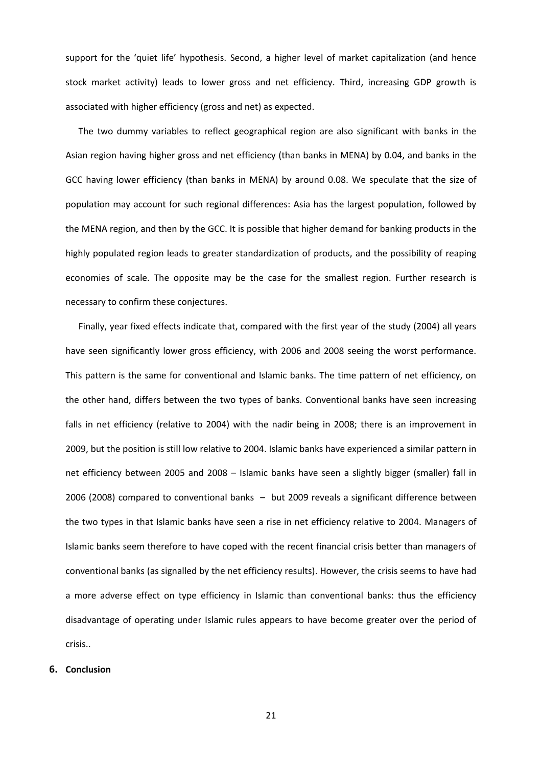support for the 'quiet life' hypothesis. Second, a higher level of market capitalization (and hence stock market activity) leads to lower gross and net efficiency. Third, increasing GDP growth is associated with higher efficiency (gross and net) as expected.

The two dummy variables to reflect geographical region are also significant with banks in the Asian region having higher gross and net efficiency (than banks in MENA) by 0.04, and banks in the GCC having lower efficiency (than banks in MENA) by around 0.08. We speculate that the size of population may account for such regional differences: Asia has the largest population, followed by the MENA region, and then by the GCC. It is possible that higher demand for banking products in the highly populated region leads to greater standardization of products, and the possibility of reaping economies of scale. The opposite may be the case for the smallest region. Further research is necessary to confirm these conjectures.

Finally, year fixed effects indicate that, compared with the first year of the study (2004) all years have seen significantly lower gross efficiency, with 2006 and 2008 seeing the worst performance. This pattern is the same for conventional and Islamic banks. The time pattern of net efficiency, on the other hand, differs between the two types of banks. Conventional banks have seen increasing falls in net efficiency (relative to 2004) with the nadir being in 2008; there is an improvement in 2009, but the position is still low relative to 2004. Islamic banks have experienced a similar pattern in net efficiency between 2005 and 2008 – Islamic banks have seen a slightly bigger (smaller) fall in 2006 (2008) compared to conventional banks – but 2009 reveals a significant difference between the two types in that Islamic banks have seen a rise in net efficiency relative to 2004. Managers of Islamic banks seem therefore to have coped with the recent financial crisis better than managers of conventional banks (as signalled by the net efficiency results). However, the crisis seems to have had a more adverse effect on type efficiency in Islamic than conventional banks: thus the efficiency disadvantage of operating under Islamic rules appears to have become greater over the period of crisis..

#### **6. Conclusion**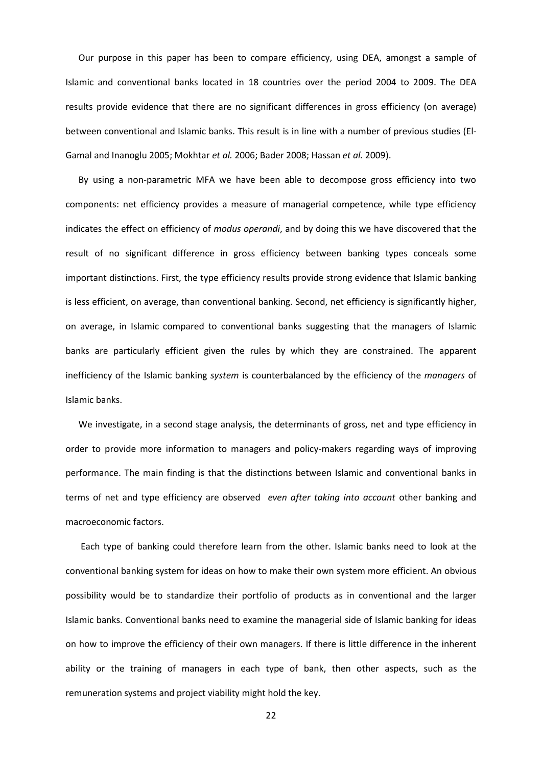Our purpose in this paper has been to compare efficiency, using DEA, amongst a sample of Islamic and conventional banks located in 18 countries over the period 2004 to 2009. The DEA results provide evidence that there are no significant differences in gross efficiency (on average) between conventional and Islamic banks. This result is in line with a number of previous studies [\(El-](#page-30-4)[Gamal and Inanoglu 2005;](#page-30-4) [Mokhtar](#page-31-2) *et al.* 2006[; Bader 2008;](#page-29-7) [Hassan](#page-30-5) *et al.* 2009).

By using a non-parametric MFA we have been able to decompose gross efficiency into two components: net efficiency provides a measure of managerial competence, while type efficiency indicates the effect on efficiency of *modus operandi*, and by doing this we have discovered that the result of no significant difference in gross efficiency between banking types conceals some important distinctions. First, the type efficiency results provide strong evidence that Islamic banking is less efficient, on average, than conventional banking. Second, net efficiency is significantly higher, on average, in Islamic compared to conventional banks suggesting that the managers of Islamic banks are particularly efficient given the rules by which they are constrained. The apparent inefficiency of the Islamic banking *system* is counterbalanced by the efficiency of the *managers* of Islamic banks.

We investigate, in a second stage analysis, the determinants of gross, net and type efficiency in order to provide more information to managers and policy-makers regarding ways of improving performance. The main finding is that the distinctions between Islamic and conventional banks in terms of net and type efficiency are observed *even after taking into account* other banking and macroeconomic factors.

Each type of banking could therefore learn from the other. Islamic banks need to look at the conventional banking system for ideas on how to make their own system more efficient. An obvious possibility would be to standardize their portfolio of products as in conventional and the larger Islamic banks. Conventional banks need to examine the managerial side of Islamic banking for ideas on how to improve the efficiency of their own managers. If there is little difference in the inherent ability or the training of managers in each type of bank, then other aspects, such as the remuneration systems and project viability might hold the key.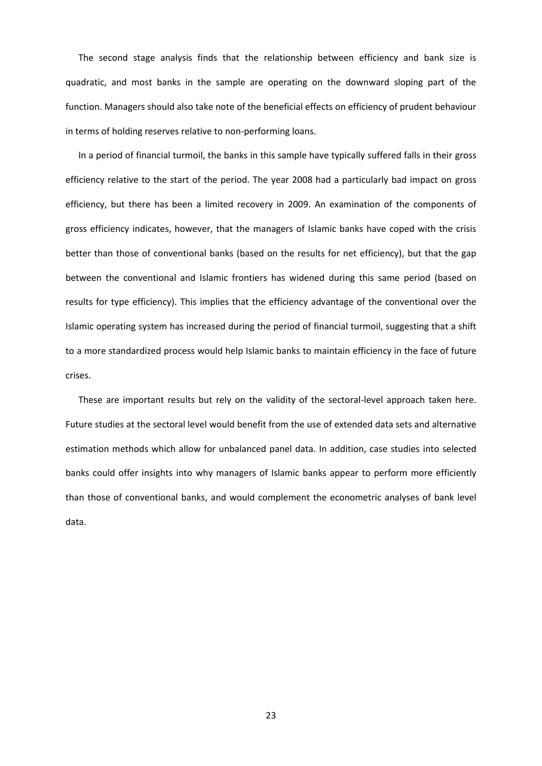The second stage analysis finds that the relationship between efficiency and bank size is quadratic, and most banks in the sample are operating on the downward sloping part of the function. Managers should also take note of the beneficial effects on efficiency of prudent behaviour in terms of holding reserves relative to non-performing loans.

In a period of financial turmoil, the banks in this sample have typically suffered falls in their gross efficiency relative to the start of the period. The year 2008 had a particularly bad impact on gross efficiency, but there has been a limited recovery in 2009. An examination of the components of gross efficiency indicates, however, that the managers of Islamic banks have coped with the crisis better than those of conventional banks (based on the results for net efficiency), but that the gap between the conventional and Islamic frontiers has widened during this same period (based on results for type efficiency). This implies that the efficiency advantage of the conventional over the Islamic operating system has increased during the period of financial turmoil, suggesting that a shift to a more standardized process would help Islamic banks to maintain efficiency in the face of future crises.

These are important results but rely on the validity of the sectoral-level approach taken here. Future studies at the sectoral level would benefit from the use of extended data sets and alternative estimation methods which allow for unbalanced panel data. In addition, case studies into selected banks could offer insights into why managers of Islamic banks appear to perform more efficiently than those of conventional banks, and would complement the econometric analyses of bank level data.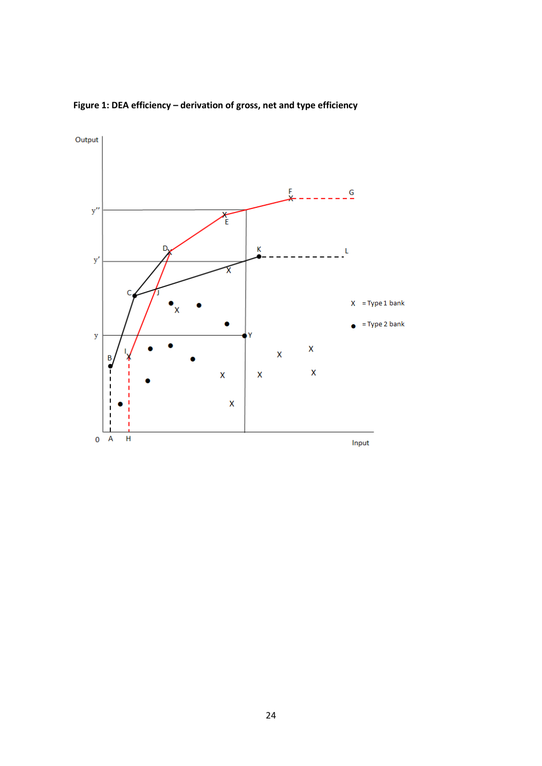

# **Figure 1: DEA efficiency – derivation of gross, net and type efficiency**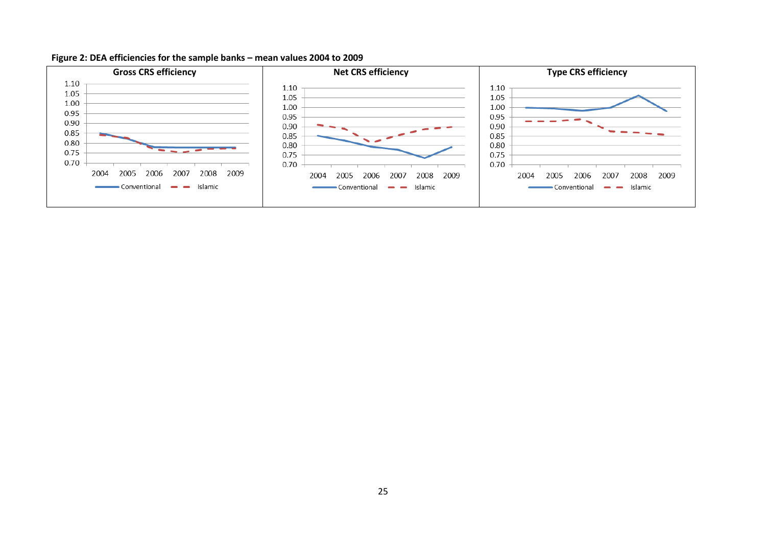

# **Figure 2: DEA efficiencies for the sample banks – mean values 2004 to 2009**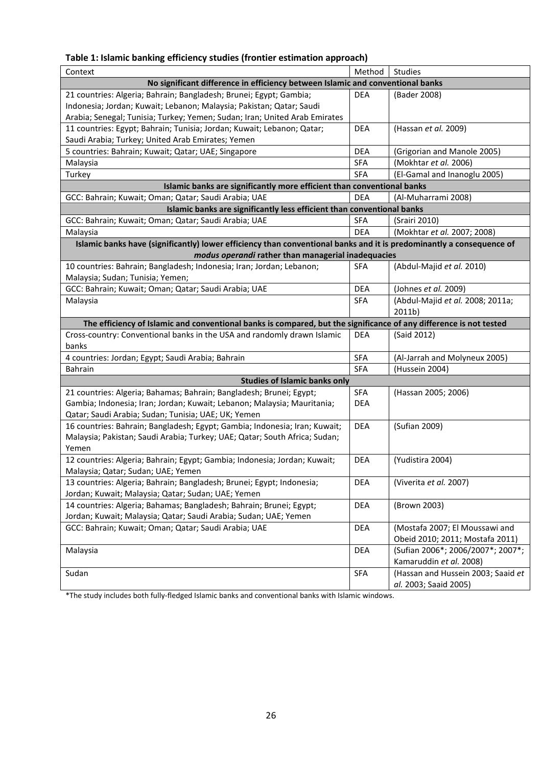| Table 1: Islamic banking efficiency studies (frontier estimation approach) |  |  |
|----------------------------------------------------------------------------|--|--|
|----------------------------------------------------------------------------|--|--|

| Context                                                                                                              | Method     | <b>Studies</b>                     |
|----------------------------------------------------------------------------------------------------------------------|------------|------------------------------------|
| No significant difference in efficiency between Islamic and conventional banks                                       |            |                                    |
| 21 countries: Algeria; Bahrain; Bangladesh; Brunei; Egypt; Gambia;                                                   | <b>DEA</b> | (Bader 2008)                       |
| Indonesia; Jordan; Kuwait; Lebanon; Malaysia; Pakistan; Qatar; Saudi                                                 |            |                                    |
| Arabia; Senegal; Tunisia; Turkey; Yemen; Sudan; Iran; United Arab Emirates                                           |            |                                    |
| 11 countries: Egypt; Bahrain; Tunisia; Jordan; Kuwait; Lebanon; Qatar;                                               | <b>DEA</b> | (Hassan et al. 2009)               |
| Saudi Arabia; Turkey; United Arab Emirates; Yemen                                                                    |            |                                    |
| 5 countries: Bahrain; Kuwait; Qatar; UAE; Singapore                                                                  | <b>DEA</b> | (Grigorian and Manole 2005)        |
| Malaysia                                                                                                             | <b>SFA</b> | (Mokhtar et al. 2006)              |
| Turkey                                                                                                               | <b>SFA</b> | (El-Gamal and Inanoglu 2005)       |
| Islamic banks are significantly more efficient than conventional banks                                               |            |                                    |
| GCC: Bahrain; Kuwait; Oman; Qatar; Saudi Arabia; UAE                                                                 | <b>DEA</b> | (Al-Muharrami 2008)                |
| Islamic banks are significantly less efficient than conventional banks                                               |            |                                    |
| GCC: Bahrain; Kuwait; Oman; Qatar; Saudi Arabia; UAE                                                                 | <b>SFA</b> | (Srairi 2010)                      |
| Malaysia                                                                                                             | <b>DEA</b> | (Mokhtar et al. 2007; 2008)        |
| Islamic banks have (significantly) lower efficiency than conventional banks and it is predominantly a consequence of |            |                                    |
| modus operandi rather than managerial inadequacies                                                                   |            |                                    |
| 10 countries: Bahrain; Bangladesh; Indonesia; Iran; Jordan; Lebanon;                                                 | SFA        | (Abdul-Majid et al. 2010)          |
| Malaysia; Sudan; Tunisia; Yemen;                                                                                     |            |                                    |
| GCC: Bahrain; Kuwait; Oman; Qatar; Saudi Arabia; UAE                                                                 | <b>DEA</b> | (Johnes et al. 2009)               |
| Malaysia                                                                                                             | <b>SFA</b> | (Abdul-Majid et al. 2008; 2011a;   |
|                                                                                                                      |            | 2011b)                             |
| The efficiency of Islamic and conventional banks is compared, but the significance of any difference is not tested   |            |                                    |
| Cross-country: Conventional banks in the USA and randomly drawn Islamic                                              | <b>DEA</b> | (Said 2012)                        |
| banks                                                                                                                |            |                                    |
| 4 countries: Jordan; Egypt; Saudi Arabia; Bahrain                                                                    | <b>SFA</b> | (Al-Jarrah and Molyneux 2005)      |
| Bahrain                                                                                                              | <b>SFA</b> | (Hussein 2004)                     |
| <b>Studies of Islamic banks only</b>                                                                                 |            |                                    |
| 21 countries: Algeria; Bahamas; Bahrain; Bangladesh; Brunei; Egypt;                                                  | <b>SFA</b> | (Hassan 2005; 2006)                |
| Gambia; Indonesia; Iran; Jordan; Kuwait; Lebanon; Malaysia; Mauritania;                                              | <b>DEA</b> |                                    |
| Qatar; Saudi Arabia; Sudan; Tunisia; UAE; UK; Yemen                                                                  |            |                                    |
| 16 countries: Bahrain; Bangladesh; Egypt; Gambia; Indonesia; Iran; Kuwait;                                           | <b>DEA</b> | (Sufian 2009)                      |
| Malaysia; Pakistan; Saudi Arabia; Turkey; UAE; Qatar; South Africa; Sudan;                                           |            |                                    |
| Yemen                                                                                                                |            |                                    |
| 12 countries: Algeria; Bahrain; Egypt; Gambia; Indonesia; Jordan; Kuwait;                                            | <b>DEA</b> | (Yudistira 2004)                   |
| Malaysia; Qatar; Sudan; UAE; Yemen                                                                                   |            |                                    |
| 13 countries: Algeria; Bahrain; Bangladesh; Brunei; Egypt; Indonesia;                                                | <b>DEA</b> | (Viverita et al. 2007)             |
| Jordan; Kuwait; Malaysia; Qatar; Sudan; UAE; Yemen                                                                   |            |                                    |
| 14 countries: Algeria; Bahamas; Bangladesh; Bahrain; Brunei; Egypt;                                                  | <b>DEA</b> | (Brown 2003)                       |
| Jordan; Kuwait; Malaysia; Qatar; Saudi Arabia; Sudan; UAE; Yemen                                                     |            |                                    |
| GCC: Bahrain; Kuwait; Oman; Qatar; Saudi Arabia; UAE                                                                 | <b>DEA</b> | (Mostafa 2007; El Moussawi and     |
|                                                                                                                      |            | Obeid 2010; 2011; Mostafa 2011)    |
| Malaysia                                                                                                             | <b>DEA</b> | (Sufian 2006*; 2006/2007*; 2007*;  |
|                                                                                                                      |            | Kamaruddin et al. 2008)            |
| Sudan                                                                                                                | <b>SFA</b> | (Hassan and Hussein 2003; Saaid et |
|                                                                                                                      |            | al. 2003; Saaid 2005)              |

\*The study includes both fully-fledged Islamic banks and conventional banks with Islamic windows.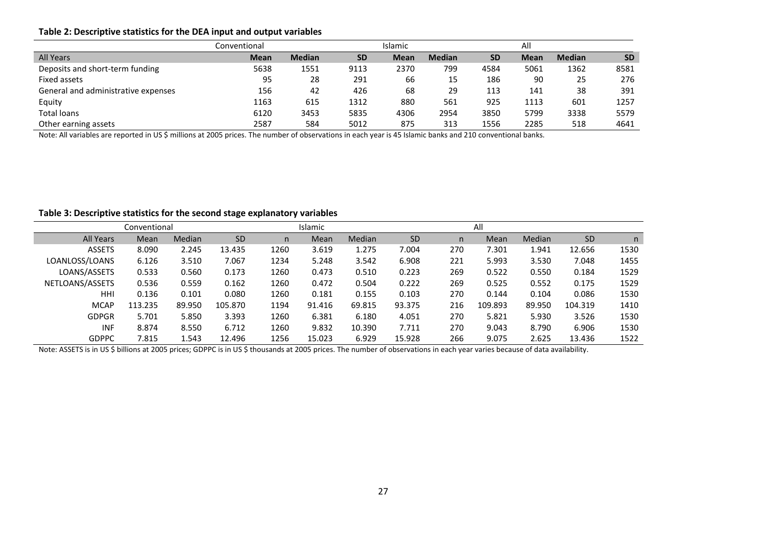# **Table 2: Descriptive statistics for the DEA input and output variables**

|                                     | Conventional |               |           | <b>Islamic</b> |               |           | All         |               |           |
|-------------------------------------|--------------|---------------|-----------|----------------|---------------|-----------|-------------|---------------|-----------|
| <b>All Years</b>                    | <b>Mean</b>  | <b>Median</b> | <b>SD</b> | <b>Mean</b>    | <b>Median</b> | <b>SD</b> | <b>Mean</b> | <b>Median</b> | <b>SD</b> |
| Deposits and short-term funding     | 5638         | 1551          | 9113      | 2370           | 799           | 4584      | 5061        | 1362          | 8581      |
| Fixed assets                        | 95           | 28            | 291       | 66             | 15            | 186       | 90          | 25            | 276       |
| General and administrative expenses | 156          | 42            | 426       | 68             | 29            | 113       | 141         | 38            | 391       |
| Equity                              | 1163         | 615           | 1312      | 880            | 561           | 925       | 1113        | 601           | 1257      |
| <b>Total loans</b>                  | 6120         | 3453          | 5835      | 4306           | 2954          | 3850      | 5799        | 3338          | 5579      |
| Other earning assets                | 2587         | 584           | 5012      | 875            | 313           | 1556      | 2285        | 518           | 4641      |

Note: All variables are reported in US \$ millions at 2005 prices. The number of observations in each year is 45 Islamic banks and 210 conventional banks.

# **Table 3: Descriptive statistics for the second stage explanatory variables**

| Conventional    |         |               |           |      | Islamic |               |        | All |         |               |           |      |
|-----------------|---------|---------------|-----------|------|---------|---------------|--------|-----|---------|---------------|-----------|------|
| All Years       | Mean    | <b>Median</b> | <b>SD</b> | n    | Mean    | <b>Median</b> | SD     | n.  | Mean    | <b>Median</b> | <b>SD</b> | n    |
| <b>ASSETS</b>   | 8.090   | 2.245         | 13.435    | 1260 | 3.619   | 1.275         | 7.004  | 270 | 7.301   | 1.941         | 12.656    | 1530 |
| LOANLOSS/LOANS  | 6.126   | 3.510         | 7.067     | 1234 | 5.248   | 3.542         | 6.908  | 221 | 5.993   | 3.530         | 7.048     | 1455 |
| LOANS/ASSETS    | 0.533   | 0.560         | 0.173     | 1260 | 0.473   | 0.510         | 0.223  | 269 | 0.522   | 0.550         | 0.184     | 1529 |
| NETLOANS/ASSETS | 0.536   | 0.559         | 0.162     | 1260 | 0.472   | 0.504         | 0.222  | 269 | 0.525   | 0.552         | 0.175     | 1529 |
| <b>HHI</b>      | 0.136   | 0.101         | 0.080     | 1260 | 0.181   | 0.155         | 0.103  | 270 | 0.144   | 0.104         | 0.086     | 1530 |
| <b>MCAP</b>     | 113.235 | 89.950        | 105.870   | 1194 | 91.416  | 69.815        | 93.375 | 216 | 109.893 | 89.950        | 104.319   | 1410 |
| <b>GDPGR</b>    | 5.701   | 5.850         | 3.393     | 1260 | 6.381   | 6.180         | 4.051  | 270 | 5.821   | 5.930         | 3.526     | 1530 |
| INF             | 8.874   | 8.550         | 6.712     | 1260 | 9.832   | 10.390        | 7.711  | 270 | 9.043   | 8.790         | 6.906     | 1530 |
| <b>GDPPC</b>    | 7.815   | 1.543         | 12.496    | 1256 | 15.023  | 6.929         | 15.928 | 266 | 9.075   | 2.625         | 13.436    | 1522 |

Note: ASSETS is in US \$ billions at 2005 prices; GDPPC is in US \$ thousands at 2005 prices. The number of observations in each year varies because of data availability.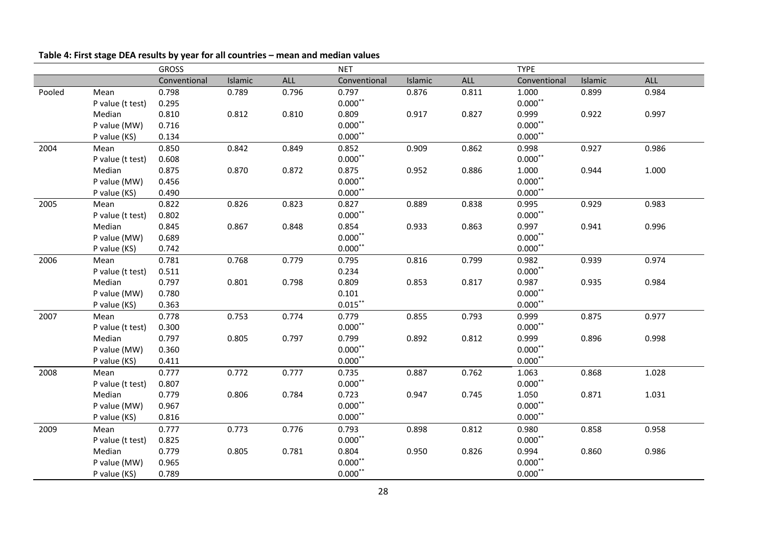|        |                  | <b>GROSS</b> |         |       | <b>NET</b>   |         |       | <b>TYPE</b>  |         |       |
|--------|------------------|--------------|---------|-------|--------------|---------|-------|--------------|---------|-------|
|        |                  | Conventional | Islamic | ALL   | Conventional | Islamic | ALL   | Conventional | Islamic | ALL   |
| Pooled | Mean             | 0.798        | 0.789   | 0.796 | 0.797        | 0.876   | 0.811 | 1.000        | 0.899   | 0.984 |
|        | P value (t test) | 0.295        |         |       | $0.000$ **   |         |       | $0.000$ **   |         |       |
|        | Median           | 0.810        | 0.812   | 0.810 | 0.809        | 0.917   | 0.827 | 0.999        | 0.922   | 0.997 |
|        | P value (MW)     | 0.716        |         |       | $0.000$ **   |         |       | $0.000$ **   |         |       |
|        | P value (KS)     | 0.134        |         |       | $0.000$ **   |         |       | $0.000$ **   |         |       |
| 2004   | Mean             | 0.850        | 0.842   | 0.849 | 0.852        | 0.909   | 0.862 | 0.998        | 0.927   | 0.986 |
|        | P value (t test) | 0.608        |         |       | $0.000$ **   |         |       | $0.000$ **   |         |       |
|        | Median           | 0.875        | 0.870   | 0.872 | 0.875        | 0.952   | 0.886 | 1.000        | 0.944   | 1.000 |
|        | P value (MW)     | 0.456        |         |       | $0.000**$    |         |       | $0.000$ **   |         |       |
|        | P value (KS)     | 0.490        |         |       | $0.000$ **   |         |       | $0.000$ **   |         |       |
| 2005   | Mean             | 0.822        | 0.826   | 0.823 | 0.827        | 0.889   | 0.838 | 0.995        | 0.929   | 0.983 |
|        | P value (t test) | 0.802        |         |       | $0.000$ **   |         |       | $0.000$ **   |         |       |
|        | Median           | 0.845        | 0.867   | 0.848 | 0.854        | 0.933   | 0.863 | 0.997        | 0.941   | 0.996 |
|        | P value (MW)     | 0.689        |         |       | $0.000$ **   |         |       | $0.000$ **   |         |       |
|        | P value (KS)     | 0.742        |         |       | $0.000$ **   |         |       | $0.000$ **   |         |       |
| 2006   | Mean             | 0.781        | 0.768   | 0.779 | 0.795        | 0.816   | 0.799 | 0.982        | 0.939   | 0.974 |
|        | P value (t test) | 0.511        |         |       | 0.234        |         |       | $0.000$ **   |         |       |
|        | Median           | 0.797        | 0.801   | 0.798 | 0.809        | 0.853   | 0.817 | 0.987        | 0.935   | 0.984 |
|        | P value (MW)     | 0.780        |         |       | 0.101        |         |       | $0.000$ **   |         |       |
|        | P value (KS)     | 0.363        |         |       | $0.015***$   |         |       | $0.000$ **   |         |       |
| 2007   | Mean             | 0.778        | 0.753   | 0.774 | 0.779        | 0.855   | 0.793 | 0.999        | 0.875   | 0.977 |
|        | P value (t test) | 0.300        |         |       | $0.000$ **   |         |       | $0.000$ **   |         |       |
|        | Median           | 0.797        | 0.805   | 0.797 | 0.799        | 0.892   | 0.812 | 0.999        | 0.896   | 0.998 |
|        | P value (MW)     | 0.360        |         |       | $0.000$ **   |         |       | $0.000$ **   |         |       |
|        | P value (KS)     | 0.411        |         |       | $0.000$ **   |         |       | $0.000$ **   |         |       |
| 2008   | Mean             | 0.777        | 0.772   | 0.777 | 0.735        | 0.887   | 0.762 | 1.063        | 0.868   | 1.028 |
|        | P value (t test) | 0.807        |         |       | $0.000$ **   |         |       | $0.000$ **   |         |       |
|        | Median           | 0.779        | 0.806   | 0.784 | 0.723        | 0.947   | 0.745 | 1.050        | 0.871   | 1.031 |
|        | P value (MW)     | 0.967        |         |       | $0.000$ **   |         |       | $0.000$ **   |         |       |
|        | P value (KS)     | 0.816        |         |       | $0.000$ **   |         |       | $0.000$ **   |         |       |
| 2009   | Mean             | 0.777        | 0.773   | 0.776 | 0.793        | 0.898   | 0.812 | 0.980        | 0.858   | 0.958 |
|        | P value (t test) | 0.825        |         |       | $0.000^{**}$ |         |       | $0.000$ **   |         |       |
|        | Median           | 0.779        | 0.805   | 0.781 | 0.804        | 0.950   | 0.826 | 0.994        | 0.860   | 0.986 |
|        | P value (MW)     | 0.965        |         |       | $0.000$ **   |         |       | $0.000$ **   |         |       |
|        | P value (KS)     | 0.789        |         |       | $0.000^{**}$ |         |       | $0.000***$   |         |       |

**Table 4: First stage DEA results by year for all countries – mean and median values**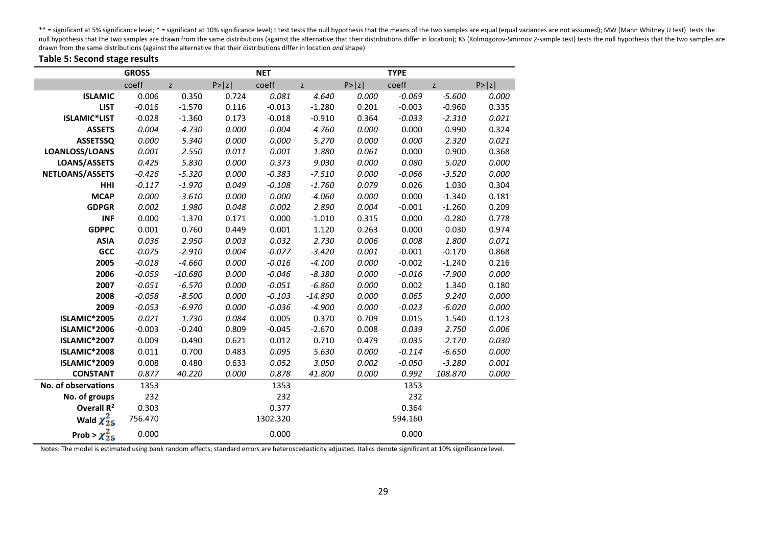\*\* = significant at 5% significance level; \* = significant at 10% significance level; t test tests the null hypothesis that the means of the two samples are equal (equal variances are not assumed); MW (Mann Whitney U test) null hypothesis that the two samples are drawn from the same distributions (against the alternative that their distributions differ in location); KS (Kolmogorov-Smirnov 2-sample test) tests the null hypothesis that the two drawn from the same distributions (against the alternative that their distributions differ in location *and* shape)

**Table 5: Second stage results**

|                        | <b>GROSS</b> |           |        | <b>NET</b> |           |        | <b>TYPE</b> |          |        |
|------------------------|--------------|-----------|--------|------------|-----------|--------|-------------|----------|--------|
|                        | coeff        | Z         | P >  z | coeff      | Z         | P >  z | coeff       | Z        | P >  z |
| <b>ISLAMIC</b>         | 0.006        | 0.350     | 0.724  | 0.081      | 4.640     | 0.000  | $-0.069$    | $-5.600$ | 0.000  |
| <b>LIST</b>            | $-0.016$     | $-1.570$  | 0.116  | $-0.013$   | $-1.280$  | 0.201  | $-0.003$    | $-0.960$ | 0.335  |
| <b>ISLAMIC*LIST</b>    | $-0.028$     | $-1.360$  | 0.173  | $-0.018$   | $-0.910$  | 0.364  | $-0.033$    | $-2.310$ | 0.021  |
| <b>ASSETS</b>          | $-0.004$     | $-4.730$  | 0.000  | $-0.004$   | $-4.760$  | 0.000  | 0.000       | $-0.990$ | 0.324  |
| <b>ASSETSSQ</b>        | 0.000        | 5.340     | 0.000  | 0.000      | 5.270     | 0.000  | 0.000       | 2.320    | 0.021  |
| LOANLOSS/LOANS         | 0.001        | 2.550     | 0.011  | 0.001      | 1.880     | 0.061  | 0.000       | 0.900    | 0.368  |
| LOANS/ASSETS           | 0.425        | 5.830     | 0.000  | 0.373      | 9.030     | 0.000  | 0.080       | 5.020    | 0.000  |
| <b>NETLOANS/ASSETS</b> | $-0.426$     | $-5.320$  | 0.000  | $-0.383$   | $-7.510$  | 0.000  | $-0.066$    | $-3.520$ | 0.000  |
| <b>HHI</b>             | $-0.117$     | $-1.970$  | 0.049  | $-0.108$   | $-1.760$  | 0.079  | 0.026       | 1.030    | 0.304  |
| <b>MCAP</b>            | 0.000        | $-3.610$  | 0.000  | 0.000      | $-4.060$  | 0.000  | 0.000       | $-1.340$ | 0.181  |
| <b>GDPGR</b>           | 0.002        | 1.980     | 0.048  | 0.002      | 2.890     | 0.004  | $-0.001$    | $-1.260$ | 0.209  |
| <b>INF</b>             | 0.000        | $-1.370$  | 0.171  | 0.000      | $-1.010$  | 0.315  | 0.000       | $-0.280$ | 0.778  |
| <b>GDPPC</b>           | 0.001        | 0.760     | 0.449  | 0.001      | 1.120     | 0.263  | 0.000       | 0.030    | 0.974  |
| <b>ASIA</b>            | 0.036        | 2.950     | 0.003  | 0.032      | 2.730     | 0.006  | 0.008       | 1.800    | 0.071  |
| GCC                    | $-0.075$     | $-2.910$  | 0.004  | $-0.077$   | $-3.420$  | 0.001  | $-0.001$    | $-0.170$ | 0.868  |
| 2005                   | $-0.018$     | $-4.660$  | 0.000  | $-0.016$   | $-4.100$  | 0.000  | $-0.002$    | $-1.240$ | 0.216  |
| 2006                   | $-0.059$     | $-10.680$ | 0.000  | $-0.046$   | $-8.380$  | 0.000  | $-0.016$    | $-7.900$ | 0.000  |
| 2007                   | $-0.051$     | $-6.570$  | 0.000  | $-0.051$   | $-6.860$  | 0.000  | 0.002       | 1.340    | 0.180  |
| 2008                   | $-0.058$     | $-8.500$  | 0.000  | $-0.103$   | $-14.890$ | 0.000  | 0.065       | 9.240    | 0.000  |
| 2009                   | $-0.053$     | $-6.970$  | 0.000  | $-0.036$   | $-4.900$  | 0.000  | $-0.023$    | $-6.020$ | 0.000  |
| ISLAMIC*2005           | 0.021        | 1.730     | 0.084  | 0.005      | 0.370     | 0.709  | 0.015       | 1.540    | 0.123  |
| ISLAMIC*2006           | $-0.003$     | $-0.240$  | 0.809  | $-0.045$   | $-2.670$  | 0.008  | 0.039       | 2.750    | 0.006  |
| ISLAMIC*2007           | $-0.009$     | $-0.490$  | 0.621  | 0.012      | 0.710     | 0.479  | $-0.035$    | $-2.170$ | 0.030  |
| ISLAMIC*2008           | 0.011        | 0.700     | 0.483  | 0.095      | 5.630     | 0.000  | $-0.114$    | $-6.650$ | 0.000  |
| ISLAMIC*2009           | 0.008        | 0.480     | 0.633  | 0.052      | 3.050     | 0.002  | $-0.050$    | $-3.280$ | 0.001  |
| <b>CONSTANT</b>        | 0.877        | 40.220    | 0.000  | 0.878      | 41.800    | 0.000  | 0.992       | 108.870  | 0.000  |
| No. of observations    | 1353         |           |        | 1353       |           |        | 1353        |          |        |
| No. of groups          | 232          |           |        | 232        |           |        | 232         |          |        |
| Overall R <sup>2</sup> | 0.303        |           |        | 0.377      |           |        | 0.364       |          |        |
| Wald $\chi^2_{25}$     | 756.470      |           |        | 1302.320   |           |        | 594.160     |          |        |
| Prob > $\chi^2_{25}$   | 0.000        |           |        | 0.000      |           |        | 0.000       |          |        |

Notes: The model is estimated using bank random effects; standard errors are heteroscedasticity adjusted. Italics denote significant at 10% significance level.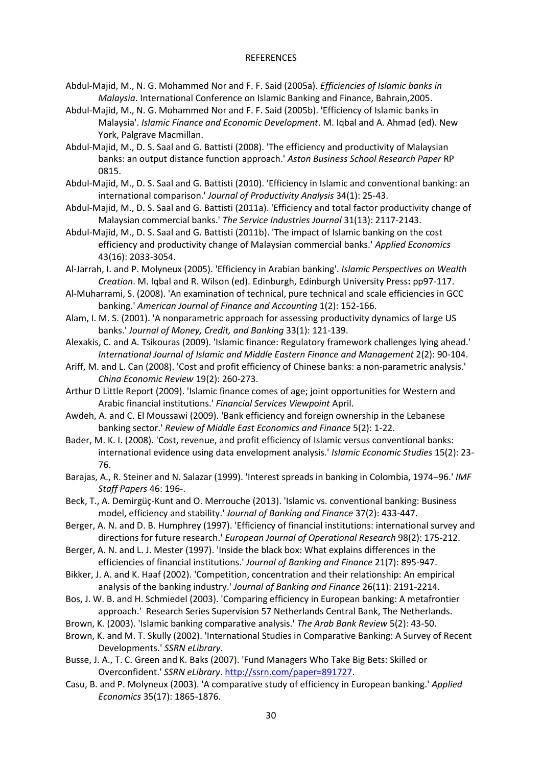#### **REFERENCES**

- <span id="page-29-1"></span>Abdul-Majid, M., N. G. Mohammed Nor and F. F. Said (2005a). *Efficiencies of Islamic banks in Malaysia*. International Conference on Islamic Banking and Finance, Bahrain,2005.
- <span id="page-29-6"></span>Abdul-Majid, M., N. G. Mohammed Nor and F. F. Said (2005b). 'Efficiency of Islamic banks in Malaysia'. *Islamic Finance and Economic Development*. M. Iqbal and A. Ahmad (ed). New York, Palgrave Macmillan.
- <span id="page-29-10"></span>Abdul-Majid, M., D. S. Saal and G. Battisti (2008). 'The efficiency and productivity of Malaysian banks: an output distance function approach.' *Aston Business School Research Paper* RP 0815.
- <span id="page-29-11"></span>Abdul-Majid, M., D. S. Saal and G. Battisti (2010). 'Efficiency in Islamic and conventional banking: an international comparison.' *Journal of Productivity Analysis* 34(1): 25-43.
- <span id="page-29-12"></span>Abdul-Majid, M., D. S. Saal and G. Battisti (2011a). 'Efficiency and total factor productivity change of Malaysian commercial banks.' *The Service Industries Journal* 31(13): 2117-2143.
- <span id="page-29-13"></span>Abdul-Majid, M., D. S. Saal and G. Battisti (2011b). 'The impact of Islamic banking on the cost efficiency and productivity change of Malaysian commercial banks.' *Applied Economics* 43(16): 2033-3054.
- <span id="page-29-8"></span>Al-Jarrah, I. and P. Molyneux (2005). 'Efficiency in Arabian banking'. *Islamic Perspectives on Wealth Creation*. M. Iqbal and R. Wilson (ed). Edinburgh, Edinburgh University Press**:** pp97-117.
- <span id="page-29-9"></span>Al-Muharrami, S. (2008). 'An examination of technical, pure technical and scale efficiencies in GCC banking.' *American Journal of Finance and Accounting* 1(2): 152-166.
- <span id="page-29-18"></span>Alam, I. M. S. (2001). 'A nonparametric approach for assessing productivity dynamics of large US banks.' *Journal of Money, Credit, and Banking* 33(1): 121-139.
- <span id="page-29-2"></span>Alexakis, C. and A. Tsikouras (2009). 'Islamic finance: Regulatory framework challenges lying ahead.' *International Journal of Islamic and Middle Eastern Finance and Management* 2(2): 90-104.
- <span id="page-29-16"></span>Ariff, M. and L. Can (2008). 'Cost and profit efficiency of Chinese banks: a non-parametric analysis.' *China Economic Review* 19(2): 260-273.
- <span id="page-29-0"></span>Arthur D Little Report (2009). 'Islamic finance comes of age; joint opportunities for Western and Arabic financial institutions.' *Financial Services Viewpoint* April.
- <span id="page-29-22"></span>Awdeh, A. and C. El Moussawi (2009). 'Bank efficiency and foreign ownership in the Lebanese banking sector.' *Review of Middle East Economics and Finance* 5(2): 1-22.
- <span id="page-29-7"></span>Bader, M. K. I. (2008). 'Cost, revenue, and profit efficiency of Islamic versus conventional banks: international evidence using data envelopment analysis.' *Islamic Economic Studies* 15(2): 23- 76.
- <span id="page-29-19"></span>Barajas, A., R. Steiner and N. Salazar (1999). 'Interest spreads in banking in Colombia, 1974–96.' *IMF Staff Papers* 46: 196-.
- <span id="page-29-17"></span>Beck, T., A. Demirgüç-Kunt and O. Merrouche (2013). 'Islamic vs. conventional banking: Business model, efficiency and stability.' *Journal of Banking and Finance* 37(2): 433-447.
- <span id="page-29-3"></span>Berger, A. N. and D. B. Humphrey (1997). 'Efficiency of financial institutions: international survey and directions for future research.' *European Journal of Operational Research* 98(2): 175-212.
- <span id="page-29-4"></span>Berger, A. N. and L. J. Mester (1997). 'Inside the black box: What explains differences in the efficiencies of financial institutions.' *Journal of Banking and Finance* 21(7): 895-947.
- <span id="page-29-20"></span>Bikker, J. A. and K. Haaf (2002). 'Competition, concentration and their relationship: An empirical analysis of the banking industry.' *Journal of Banking and Finance* 26(11): 2191-2214.
- <span id="page-29-14"></span>Bos, J. W. B. and H. Schmiedel (2003). 'Comparing efficiency in European banking: A metafrontier approach.' Research Series Supervision 57 Netherlands Central Bank, The Netherlands.
- <span id="page-29-23"></span>Brown, K. (2003). 'Islamic banking comparative analysis.' *The Arab Bank Review* 5(2): 43-50.
- <span id="page-29-5"></span>Brown, K. and M. T. Skully (2002). 'International Studies in Comparative Banking: A Survey of Recent Developments.' *SSRN eLibrary*.
- <span id="page-29-21"></span>Busse, J. A., T. C. Green and K. Baks (2007). 'Fund Managers Who Take Big Bets: Skilled or Overconfident.' *SSRN eLibrary*. [http://ssrn.com/paper=891727.](http://ssrn.com/paper=891727)
- <span id="page-29-15"></span>Casu, B. and P. Molyneux (2003). 'A comparative study of efficiency in European banking.' *Applied Economics* 35(17): 1865-1876.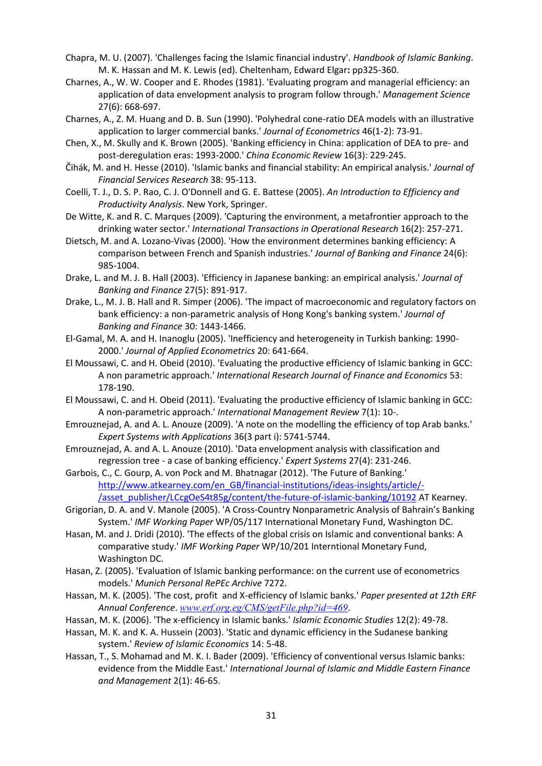- <span id="page-30-1"></span>Chapra, M. U. (2007). 'Challenges facing the Islamic financial industry'. *Handbook of Islamic Banking*. M. K. Hassan and M. K. Lewis (ed). Cheltenham, Edward Elgar**:** pp325-360.
- <span id="page-30-8"></span>Charnes, A., W. W. Cooper and E. Rhodes (1981). 'Evaluating program and managerial efficiency: an application of data envelopment analysis to program follow through.' *Management Science* 27(6): 668-697.
- <span id="page-30-13"></span>Charnes, A., Z. M. Huang and D. B. Sun (1990). 'Polyhedral cone-ratio DEA models with an illustrative application to larger commercial banks.' *Journal of Econometrics* 46(1-2): 73-91.
- <span id="page-30-2"></span>Chen, X., M. Skully and K. Brown (2005). 'Banking efficiency in China: application of DEA to pre- and post-deregulation eras: 1993-2000.' *China Economic Review* 16(3): 229-245.
- <span id="page-30-15"></span>Čihák, M. and H. Hesse (2010). 'Islamic banks and financial stability: An empirical analysis.' *Journal of Financial Services Research* 38: 95-113.
- <span id="page-30-7"></span>Coelli, T. J., D. S. P. Rao, C. J. O'Donnell and G. E. Battese (2005). *An Introduction to Efficiency and Productivity Analysis*. New York, Springer.
- <span id="page-30-9"></span>De Witte, K. and R. C. Marques (2009). 'Capturing the environment, a metafrontier approach to the drinking water sector.' *International Transactions in Operational Research* 16(2): 257-271.
- <span id="page-30-14"></span>Dietsch, M. and A. Lozano-Vivas (2000). 'How the environment determines banking efficiency: A comparison between French and Spanish industries.' *Journal of Banking and Finance* 24(6): 985-1004.
- <span id="page-30-12"></span>Drake, L. and M. J. B. Hall (2003). 'Efficiency in Japanese banking: an empirical analysis.' *Journal of Banking and Finance* 27(5): 891-917.
- <span id="page-30-3"></span>Drake, L., M. J. B. Hall and R. Simper (2006). 'The impact of macroeconomic and regulatory factors on bank efficiency: a non-parametric analysis of Hong Kong's banking system.' *Journal of Banking and Finance* 30: 1443-1466.
- <span id="page-30-4"></span>El-Gamal, M. A. and H. Inanoglu (2005). 'Inefficiency and heterogeneity in Turkish banking: 1990- 2000.' *Journal of Applied Econometrics* 20: 641-664.
- <span id="page-30-20"></span>El Moussawi, C. and H. Obeid (2010). 'Evaluating the productive efficiency of Islamic banking in GCC: A non parametric approach.' *International Research Journal of Finance and Economics* 53: 178-190.
- <span id="page-30-21"></span>El Moussawi, C. and H. Obeid (2011). 'Evaluating the productive efficiency of Islamic banking in GCC: A non-parametric approach.' *International Management Review* 7(1): 10-.
- <span id="page-30-10"></span>Emrouznejad, A. and A. L. Anouze (2009). 'A note on the modelling the efficiency of top Arab banks.' *Expert Systems with Applications* 36(3 part i): 5741-5744.
- <span id="page-30-11"></span>Emrouznejad, A. and A. L. Anouze (2010). 'Data envelopment analysis with classification and regression tree - a case of banking efficiency.' *Expert Systems* 27(4): 231-246.
- <span id="page-30-16"></span>Garbois, C., C. Gourp, A. von Pock and M. Bhatnagar (2012). 'The Future of Banking.' [http://www.atkearney.com/en\\_GB/financial-institutions/ideas-insights/article/-](http://www.atkearney.com/en_GB/financial-institutions/ideas-insights/article/-/asset_publisher/LCcgOeS4t85g/content/the-future-of-islamic-banking/10192) [/asset\\_publisher/LCcgOeS4t85g/content/the-future-of-islamic-banking/10192](http://www.atkearney.com/en_GB/financial-institutions/ideas-insights/article/-/asset_publisher/LCcgOeS4t85g/content/the-future-of-islamic-banking/10192) AT Kearney.
- <span id="page-30-17"></span>Grigorian, D. A. and V. Manole (2005). 'A Cross-Country Nonparametric Analysis of Bahrain's Banking System.' *IMF Working Paper* WP/05/117 International Monetary Fund, Washington DC.
- <span id="page-30-0"></span>Hasan, M. and J. Dridi (2010). 'The effects of the global crisis on Islamic and conventional banks: A comparative study.' *IMF Working Paper* WP/10/201 Interntional Monetary Fund, Washington DC.
- <span id="page-30-6"></span>Hasan, Z. (2005). 'Evaluation of Islamic banking performance: on the current use of econometrics models.' *Munich Personal RePEc Archive* 7272.
- <span id="page-30-18"></span>Hassan, M. K. (2005). 'The cost, profit and X-efficiency of Islamic banks.' *Paper presented at 12th ERF Annual Conference*. *[www.erf.org.eg/CMS/getFile.php?id=469](http://www.erf.org.eg/CMS/getFile.php?id=469)*.
- <span id="page-30-19"></span>Hassan, M. K. (2006). 'The x-efficiency in Islamic banks.' *Islamic Economic Studies* 12(2): 49-78.
- <span id="page-30-22"></span>Hassan, M. K. and K. A. Hussein (2003). 'Static and dynamic efficiency in the Sudanese banking system.' *Review of Islamic Economics* 14: 5-48.
- <span id="page-30-5"></span>Hassan, T., S. Mohamad and M. K. I. Bader (2009). 'Efficiency of conventional versus Islamic banks: evidence from the Middle East.' *International Journal of Islamic and Middle Eastern Finance and Management* 2(1): 46-65.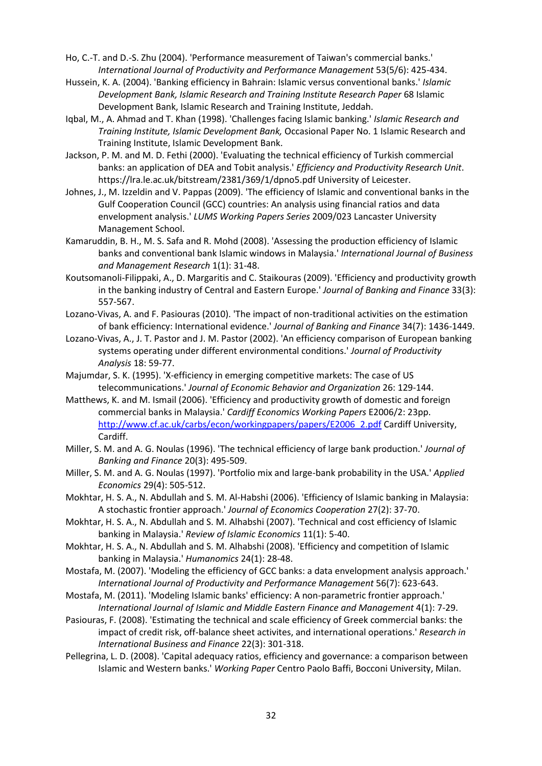- <span id="page-31-7"></span>Ho, C.-T. and D.-S. Zhu (2004). 'Performance measurement of Taiwan's commercial banks.' *International Journal of Productivity and Performance Management* 53(5/6): 425-434.
- <span id="page-31-3"></span>Hussein, K. A. (2004). 'Banking efficiency in Bahrain: Islamic versus conventional banks.' *Islamic Development Bank, Islamic Research and Training Institute Research Paper* 68 Islamic Development Bank, Islamic Research and Training Institute, Jeddah.
- <span id="page-31-15"></span>Iqbal, M., A. Ahmad and T. Khan (1998). 'Challenges facing Islamic banking.' *Islamic Research and Training Institute, Islamic Development Bank,* Occasional Paper No. 1 Islamic Research and Training Institute, Islamic Development Bank.
- <span id="page-31-9"></span>Jackson, P. M. and M. D. Fethi (2000). 'Evaluating the technical efficiency of Turkish commercial banks: an application of DEA and Tobit analysis.' *Efficiency and Productivity Research Unit*. https://lra.le.ac.uk/bitstream/2381/369/1/dpno5.pdf University of Leicester.
- <span id="page-31-6"></span>Johnes, J., M. Izzeldin and V. Pappas (2009). 'The efficiency of Islamic and conventional banks in the Gulf Cooperation Council (GCC) countries: An analysis using financial ratios and data envelopment analysis.' *LUMS Working Papers Series* 2009/023 Lancaster University Management School.
- <span id="page-31-19"></span>Kamaruddin, B. H., M. S. Safa and R. Mohd (2008). 'Assessing the production efficiency of Islamic banks and conventional bank Islamic windows in Malaysia.' *International Journal of Business and Management Research* 1(1): 31-48.
- <span id="page-31-14"></span>Koutsomanoli-Filippaki, A., D. Margaritis and C. Staikouras (2009). 'Efficiency and productivity growth in the banking industry of Central and Eastern Europe.' *Journal of Banking and Finance* 33(3): 557-567.
- <span id="page-31-11"></span>Lozano-Vivas, A. and F. Pasiouras (2010). 'The impact of non-traditional activities on the estimation of bank efficiency: International evidence.' *Journal of Banking and Finance* 34(7): 1436-1449.
- <span id="page-31-12"></span>Lozano-Vivas, A., J. T. Pastor and J. M. Pastor (2002). 'An efficiency comparison of European banking systems operating under different environmental conditions.' *Journal of Productivity Analysis* 18: 59-77.
- <span id="page-31-8"></span>Majumdar, S. K. (1995). 'X-efficiency in emerging competitive markets: The case of US telecommunications.' *Journal of Economic Behavior and Organization* 26: 129-144.
- <span id="page-31-1"></span>Matthews, K. and M. Ismail (2006). 'Efficiency and productivity growth of domestic and foreign commercial banks in Malaysia.' *Cardiff Economics Working Papers* E2006/2: 23pp. [http://www.cf.ac.uk/carbs/econ/workingpapers/papers/E2006\\_2.pdf](http://www.cf.ac.uk/carbs/econ/workingpapers/papers/E2006_2.pdf) Cardiff University, Cardiff.
- <span id="page-31-0"></span>Miller, S. M. and A. G. Noulas (1996). 'The technical efficiency of large bank production.' *Journal of Banking and Finance* 20(3): 495-509.
- <span id="page-31-13"></span>Miller, S. M. and A. G. Noulas (1997). 'Portfolio mix and large-bank probability in the USA.' *Applied Economics* 29(4): 505-512.
- <span id="page-31-2"></span>Mokhtar, H. S. A., N. Abdullah and S. M. Al-Habshi (2006). 'Efficiency of Islamic banking in Malaysia: A stochastic frontier approach.' *Journal of Economics Cooperation* 27(2): 37-70.
- <span id="page-31-4"></span>Mokhtar, H. S. A., N. Abdullah and S. M. Alhabshi (2007). 'Technical and cost efficiency of Islamic banking in Malaysia.' *Review of Islamic Economics* 11(1): 5-40.
- <span id="page-31-5"></span>Mokhtar, H. S. A., N. Abdullah and S. M. Alhabshi (2008). 'Efficiency and competition of Islamic banking in Malaysia.' *Humanomics* 24(1): 28-48.
- <span id="page-31-17"></span>Mostafa, M. (2007). 'Modeling the efficiency of GCC banks: a data envelopment analysis approach.' *International Journal of Productivity and Performance Management* 56(7): 623-643.
- <span id="page-31-18"></span>Mostafa, M. (2011). 'Modeling Islamic banks' efficiency: A non-parametric frontier approach.' *International Journal of Islamic and Middle Eastern Finance and Management* 4(1): 7-29.
- <span id="page-31-10"></span>Pasiouras, F. (2008). 'Estimating the technical and scale efficiency of Greek commercial banks: the impact of credit risk, off-balance sheet activites, and international operations.' *Research in International Business and Finance* 22(3): 301-318.
- <span id="page-31-16"></span>Pellegrina, L. D. (2008). 'Capital adequacy ratios, efficiency and governance: a comparison between Islamic and Western banks.' *Working Paper* Centro Paolo Baffi, Bocconi University, Milan.